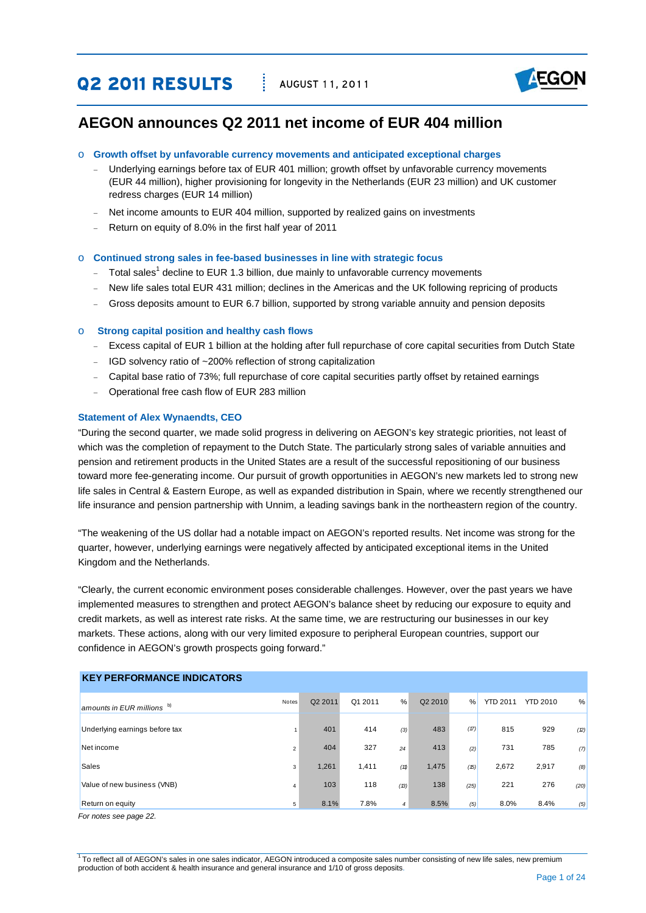# **Q2 2011 RESULTS AUGUST 11, 2011**



# **AEGON announces Q2 2011 net income of EUR 404 million**

#### o **Growth offset by unfavorable currency movements and anticipated exceptional charges**

- Underlying earnings before tax of EUR 401 million; growth offset by unfavorable currency movements (EUR 44 million), higher provisioning for longevity in the Netherlands (EUR 23 million) and UK customer redress charges (EUR 14 million)
- Net income amounts to EUR 404 million, supported by realized gains on investments
- − Return on equity of 8.0% in the first half year of 2011

#### o **Continued strong sales in fee-based businesses in line with strategic focus**

- − Total sales<sup>1</sup> decline to EUR 1.3 billion, due mainly to unfavorable currency movements
- − New life sales total EUR 431 million; declines in the Americas and the UK following repricing of products
- Gross deposits amount to EUR 6.7 billion, supported by strong variable annuity and pension deposits

#### o **Strong capital position and healthy cash flows**

- − Excess capital of EUR 1 billion at the holding after full repurchase of core capital securities from Dutch State
- − IGD solvency ratio of ~200% reflection of strong capitalization
- − Capital base ratio of 73%; full repurchase of core capital securities partly offset by retained earnings
- − Operational free cash flow of EUR 283 million

#### **Statement of Alex Wynaendts, CEO**

"During the second quarter, we made solid progress in delivering on AEGON's key strategic priorities, not least of which was the completion of repayment to the Dutch State. The particularly strong sales of variable annuities and pension and retirement products in the United States are a result of the successful repositioning of our business toward more fee-generating income. Our pursuit of growth opportunities in AEGON's new markets led to strong new life sales in Central & Eastern Europe, as well as expanded distribution in Spain, where we recently strengthened our life insurance and pension partnership with Unnim, a leading savings bank in the northeastern region of the country.

"The weakening of the US dollar had a notable impact on AEGON's reported results. Net income was strong for the quarter, however, underlying earnings were negatively affected by anticipated exceptional items in the United Kingdom and the Netherlands.

"Clearly, the current economic environment poses considerable challenges. However, over the past years we have implemented measures to strengthen and protect AEGON's balance sheet by reducing our exposure to equity and credit markets, as well as interest rate risks. At the same time, we are restructuring our businesses in our key markets. These actions, along with our very limited exposure to peripheral European countries, support our confidence in AEGON's growth prospects going forward."

| <b>KEY PERFORMANCE INDICATORS</b> |                |         |         |                |         |      |                 |                 |      |
|-----------------------------------|----------------|---------|---------|----------------|---------|------|-----------------|-----------------|------|
| amounts in EUR millions b)        | Notes          | Q2 2011 | Q1 2011 | %              | Q2 2010 | $\%$ | <b>YTD 2011</b> | <b>YTD 2010</b> | %    |
| Underlying earnings before tax    |                | 401     | 414     | (3)            | 483     | (17) | 815             | 929             | (2)  |
| Net income                        | 2              | 404     | 327     | 24             | 413     | (2)  | 731             | 785             | (7)  |
| <b>Sales</b>                      | 3              | 1,261   | 1,411   | (11)           | 1,475   | (15) | 2,672           | 2,917           | (8)  |
| Value of new business (VNB)       | $\overline{4}$ | 103     | 118     | (13)           | 138     | (25) | 221             | 276             | (20) |
| Return on equity<br>$ -$          | 5              | 8.1%    | 7.8%    | $\overline{4}$ | 8.5%    | (5)  | 8.0%            | 8.4%            | (5)  |

*For notes see page 22.*

<sup>1</sup> To reflect all of AEGON's sales in one sales indicator, AEGON introduced a composite sales number consisting of new life sales, new premium production of both accident & health insurance and general insurance and 1/10 of gross deposits.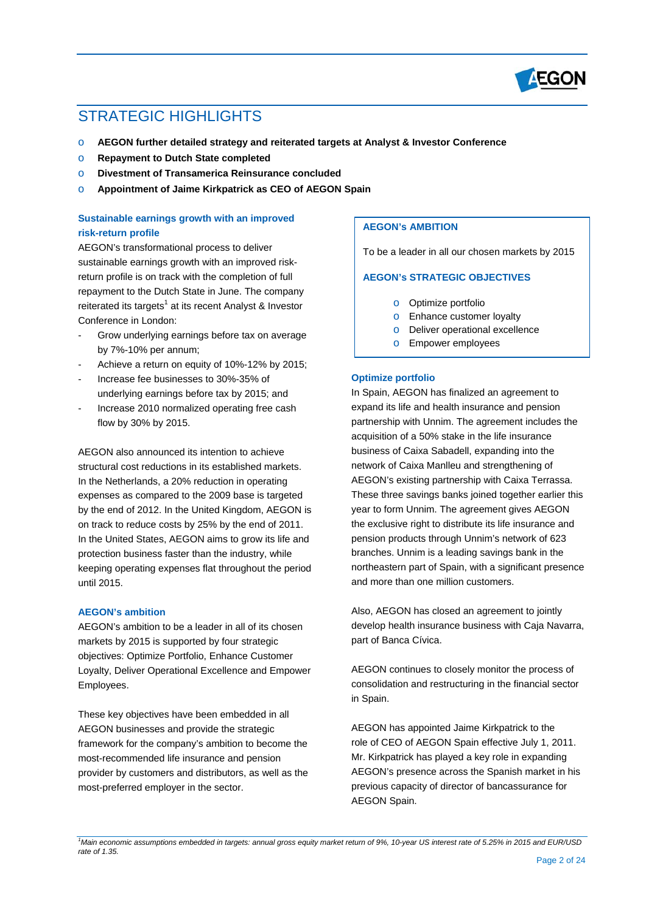

# STRATEGIC HIGHLIGHTS

- o **AEGON further detailed strategy and reiterated targets at Analyst & Investor Conference**
- o **Repayment to Dutch State completed**
- o **Divestment of Transamerica Reinsurance concluded**
- o **Appointment of Jaime Kirkpatrick as CEO of AEGON Spain**

# **Sustainable earnings growth with an improved risk-return profile**

AEGON's transformational process to deliver sustainable earnings growth with an improved riskreturn profile is on track with the completion of full repayment to the Dutch State in June. The company reiterated its targets<sup>1</sup> at its recent Analyst & Investor Conference in London:

- Grow underlying earnings before tax on average by 7%-10% per annum;
- Achieve a return on equity of 10%-12% by 2015:
- Increase fee businesses to 30%-35% of underlying earnings before tax by 2015; and
- Increase 2010 normalized operating free cash flow by 30% by 2015.

AEGON also announced its intention to achieve structural cost reductions in its established markets. In the Netherlands, a 20% reduction in operating expenses as compared to the 2009 base is targeted by the end of 2012. In the United Kingdom, AEGON is on track to reduce costs by 25% by the end of 2011. In the United States, AEGON aims to grow its life and protection business faster than the industry, while keeping operating expenses flat throughout the period until 2015.

## **AEGON's ambition**

AEGON's ambition to be a leader in all of its chosen markets by 2015 is supported by four strategic objectives: Optimize Portfolio, Enhance Customer Loyalty, Deliver Operational Excellence and Empower Employees.

These key objectives have been embedded in all AEGON businesses and provide the strategic framework for the company's ambition to become the most-recommended life insurance and pension provider by customers and distributors, as well as the most-preferred employer in the sector.

# **AEGON's AMBITION**

To be a leader in all our chosen markets by 2015

#### **AEGON's STRATEGIC OBJECTIVES**

- o Optimize portfolio
- o Enhance customer loyalty
- o Deliver operational excellence
- o Empower employees

#### **Optimize portfolio**

In Spain, AEGON has finalized an agreement to expand its life and health insurance and pension partnership with Unnim. The agreement includes the acquisition of a 50% stake in the life insurance business of Caixa Sabadell, expanding into the network of Caixa Manlleu and strengthening of AEGON's existing partnership with Caixa Terrassa. These three savings banks joined together earlier this year to form Unnim. The agreement gives AEGON the exclusive right to distribute its life insurance and pension products through Unnim's network of 623 branches. Unnim is a leading savings bank in the northeastern part of Spain, with a significant presence and more than one million customers.

Also, AEGON has closed an agreement to jointly develop health insurance business with Caja Navarra, part of Banca Cívica.

AEGON continues to closely monitor the process of consolidation and restructuring in the financial sector in Spain.

AEGON has appointed Jaime Kirkpatrick to the role of CEO of AEGON Spain effective July 1, 2011. Mr. Kirkpatrick has played a key role in expanding AEGON's presence across the Spanish market in his previous capacity of director of bancassurance for AEGON Spain.

<sup>&</sup>lt;sup>1</sup>Main economic assumptions embedded in targets: annual gross equity market return of 9%, 10-year US interest rate of 5.25% in 2015 and EUR/USD *rate of 1.35.*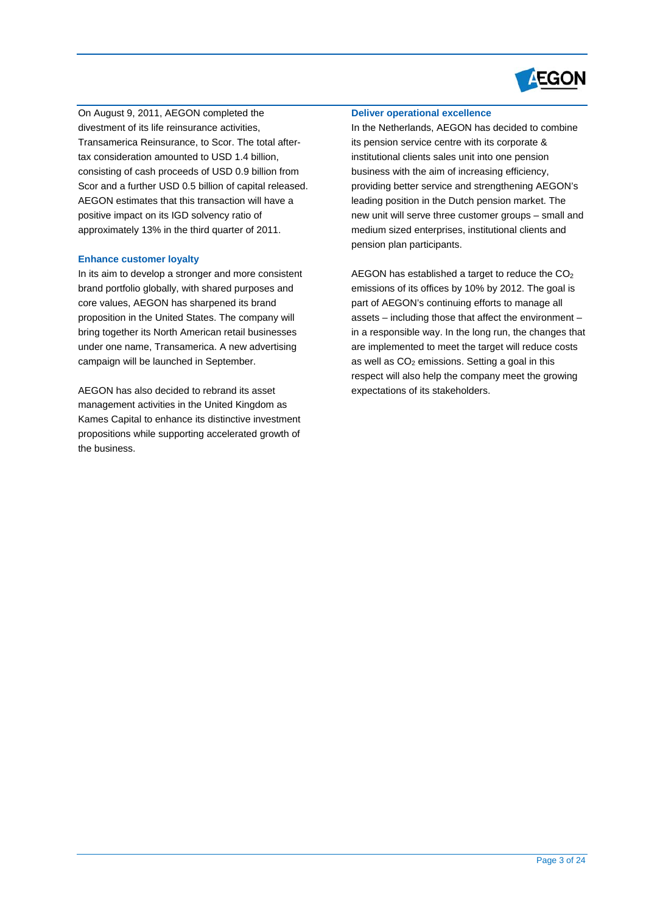

On August 9, 2011, AEGON completed the divestment of its life reinsurance activities, Transamerica Reinsurance, to Scor. The total aftertax consideration amounted to USD 1.4 billion, consisting of cash proceeds of USD 0.9 billion from Scor and a further USD 0.5 billion of capital released. AEGON estimates that this transaction will have a positive impact on its IGD solvency ratio of approximately 13% in the third quarter of 2011.

#### **Enhance customer loyalty**

In its aim to develop a stronger and more consistent brand portfolio globally, with shared purposes and core values, AEGON has sharpened its brand proposition in the United States. The company will bring together its North American retail businesses under one name, Transamerica. A new advertising campaign will be launched in September.

AEGON has also decided to rebrand its asset management activities in the United Kingdom as Kames Capital to enhance its distinctive investment propositions while supporting accelerated growth of the business.

# **Deliver operational excellence**

In the Netherlands, AEGON has decided to combine its pension service centre with its corporate & institutional clients sales unit into one pension business with the aim of increasing efficiency, providing better service and strengthening AEGON's leading position in the Dutch pension market. The new unit will serve three customer groups – small and medium sized enterprises, institutional clients and pension plan participants.

AEGON has established a target to reduce the  $CO<sub>2</sub>$ emissions of its offices by 10% by 2012. The goal is part of AEGON's continuing efforts to manage all assets – including those that affect the environment – in a responsible way. In the long run, the changes that are implemented to meet the target will reduce costs as well as  $CO<sub>2</sub>$  emissions. Setting a goal in this respect will also help the company meet the growing expectations of its stakeholders.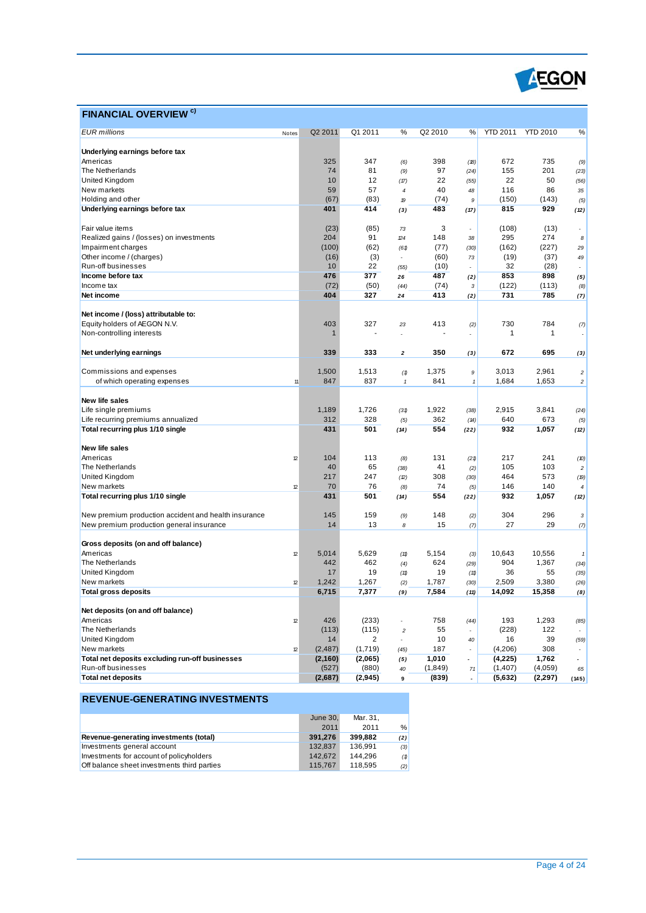

# **FINANCIAL OVERVIEW C)**

| <b>EUR</b> millions                                  | Notes | Q2 2011     | Q1 2011        | %                        | Q2 2010     | %                    | <b>YTD 2011</b> | <b>YTD 2010</b> | %                                  |
|------------------------------------------------------|-------|-------------|----------------|--------------------------|-------------|----------------------|-----------------|-----------------|------------------------------------|
|                                                      |       |             |                |                          |             |                      |                 |                 |                                    |
| Underlying earnings before tax                       |       |             |                |                          |             |                      |                 |                 |                                    |
| Americas                                             |       | 325         | 347            | (6)                      | 398         | (18)                 | 672             | 735             | (9)                                |
| The Netherlands                                      |       | 74          | 81             | (9)                      | 97          | (24)                 | 155             | 201             | (23)                               |
| United Kingdom                                       |       | 10          | 12             | (17)                     | 22          | (55)                 | 22              | 50              | (56)                               |
| New markets                                          |       | 59          | 57             | $\overline{\mathcal{L}}$ | 40          | 48                   | 116             | 86              | 35                                 |
| Holding and other                                    |       | (67)        | (83)           | 19                       | (74)        | 9                    | (150)           | (143)           | (5)                                |
| Underlying earnings before tax                       |       | 401         | 414            | (3)                      | 483         | (17)                 | 815             | 929             | (12)                               |
| Fair value items                                     |       | (23)        | (85)           | 73                       | 3           |                      | (108)           | (13)            | $\overline{\phantom{a}}$           |
| Realized gains / (losses) on investments             |       | 204         | 91             | $\mathbb{Z}4$            | 148         | $\overline{a}$<br>38 | 295             | 274             | 8                                  |
|                                                      |       |             |                |                          |             |                      | (162)           |                 |                                    |
| Impairment charges                                   |       | (100)       | (62)           | (61)<br>$\overline{a}$   | (77)        | (30)                 |                 | (227)           | 29                                 |
| Other income / (charges)                             |       | (16)        | (3)<br>22      |                          | (60)        | 73                   | (19)            | (37)            | 49                                 |
| Run-off businesses                                   |       | 10          |                | (55)                     | (10)        | $\overline{a}$       | 32              | (28)            | $\overline{\phantom{a}}$           |
| Income before tax<br>Income tax                      |       | 476         | 377            | 26                       | 487         | (2)                  | 853             | 898             | (5)                                |
|                                                      |       | (72)<br>404 | (50)<br>327    | (44)                     | (74)<br>413 | 3                    | (122)<br>731    | (113)<br>785    | (8)                                |
| Net income                                           |       |             |                | 24                       |             | (2)                  |                 |                 | (7)                                |
| Net income / (loss) attributable to:                 |       |             |                |                          |             |                      |                 |                 |                                    |
| Equity holders of AEGON N.V.                         |       | 403         | 327            | 23                       | 413         | (2)                  | 730             | 784             | (7)                                |
| Non-controlling interests                            |       |             |                | Ĭ.                       |             | ÷                    | 1               | 1               |                                    |
|                                                      |       |             |                |                          |             |                      |                 |                 |                                    |
| Net underlying earnings                              |       | 339         | 333            | $\mathbf{2}$             | 350         | (3)                  | 672             | 695             | (3)                                |
| Commissions and expenses                             |       | 1,500       | 1,513          |                          | 1,375       | 9                    | 3,013           | 2,961           |                                    |
| of which operating expenses                          | 11    | 847         | 837            | (1)<br>$\mathbf{1}$      | 841         | $\mathbf{1}$         | 1,684           | 1,653           | $\boldsymbol{2}$<br>$\overline{c}$ |
|                                                      |       |             |                |                          |             |                      |                 |                 |                                    |
| New life sales                                       |       |             |                |                          |             |                      |                 |                 |                                    |
| Life single premiums                                 |       | 1,189       | 1,726          | (31)                     | 1,922       | (38)                 | 2,915           | 3,841           | (24)                               |
| Life recurring premiums annualized                   |       | 312         | 328            | (5)                      | 362         | (14)                 | 640             | 673             | (5)                                |
| Total recurring plus 1/10 single                     |       | 431         | 501            | (14)                     | 554         | (22)                 | 932             | 1,057           | (12)                               |
|                                                      |       |             |                |                          |             |                      |                 |                 |                                    |
| New life sales                                       |       |             |                |                          |             |                      |                 |                 |                                    |
| Americas                                             | 12    | 104         | 113            | (8)                      | 131         | (21)                 | 217             | 241             | (10)                               |
| The Netherlands                                      |       | 40          | 65             | (38)                     | 41          | (2)                  | 105             | 103             | $\sqrt{2}$                         |
| United Kingdom                                       |       | 217         | 247            | (2)                      | 308         | (30)                 | 464             | 573             | (19)                               |
| New markets                                          | 12    | 70          | 76             | (8)                      | 74          | (5)                  | 146             | 140             | $\overline{\bf 4}$                 |
| Total recurring plus 1/10 single                     |       | 431         | 501            | (14)                     | 554         | (22)                 | 932             | 1,057           | (12)                               |
|                                                      |       |             |                |                          |             |                      |                 |                 |                                    |
| New premium production accident and health insurance |       | 145         | 159            | (9)                      | 148         | (2)                  | 304             | 296             | $\mathbf{3}$                       |
| New premium production general insurance             |       | 14          | 13             | 8                        | 15          | (7)                  | 27              | 29              | (7)                                |
| Gross deposits (on and off balance)                  |       |             |                |                          |             |                      |                 |                 |                                    |
| Americas                                             | 12    | 5,014       | 5,629          | (11)                     | 5,154       |                      | 10,643          | 10,556          |                                    |
| The Netherlands                                      |       | 442         | 462            | (4)                      | 624         | (3)<br>(29)          | 904             | 1,367           | $\it 1$<br>(34)                    |
| United Kingdom                                       |       | 17          | 19             | (11)                     | 19          | (11)                 | 36              | 55              | (35)                               |
| New markets                                          | 12    | 1,242       | 1,267          |                          | 1,787       |                      | 2,509           | 3,380           |                                    |
| <b>Total gross deposits</b>                          |       | 6,715       | 7,377          | (2)<br>(9)               | 7,584       | (30)<br>(11)         | 14,092          | 15,358          | (26)<br>(8)                        |
|                                                      |       |             |                |                          |             |                      |                 |                 |                                    |
| Net deposits (on and off balance)                    |       |             |                |                          |             |                      |                 |                 |                                    |
| Americas                                             | 12    | 426         | (233)          |                          | 758         | (44)                 | 193             | 1,293           | (85)                               |
| The Netherlands                                      |       | (113)       | (115)          | $\overline{c}$           | 55          |                      | (228)           | 122             |                                    |
| United Kingdom                                       |       | 14          | $\overline{2}$ |                          | 10          | 40                   | 16              | 39              | (59)                               |
| New markets                                          | 12    | (2, 487)    | (1,719)        | (45)                     | 187         | $\overline{a}$       | (4,206)         | 308             |                                    |
| Total net deposits excluding run-off businesses      |       | (2,160)     | (2,065)        | (5)                      | 1,010       | $\overline{a}$       | (4,225)         | 1,762           | $\overline{a}$                     |
| Run-off businesses                                   |       | (527)       | (880)          | 40                       | (1, 849)    | 71                   | (1,407)         | (4,059)         | 65                                 |
| <b>Total net deposits</b>                            |       | (2,687)     | (2, 945)       | 9                        | (839)       | ÷,                   | (5,632)         | (2, 297)        | (145)                              |
|                                                      |       |             |                |                          |             |                      |                 |                 |                                    |

|                                             | June 30. | Mar. 31. |     |
|---------------------------------------------|----------|----------|-----|
|                                             | 2011     | 2011     | %   |
| Revenue-generating investments (total)      | 391.276  | 399.882  | (2) |
| Investments general account                 | 132.837  | 136.991  | (3) |
| Investments for account of policyholders    | 142.672  | 144.296  | (1) |
| Off balance sheet investments third parties | 115.767  | 118.595  | (2) |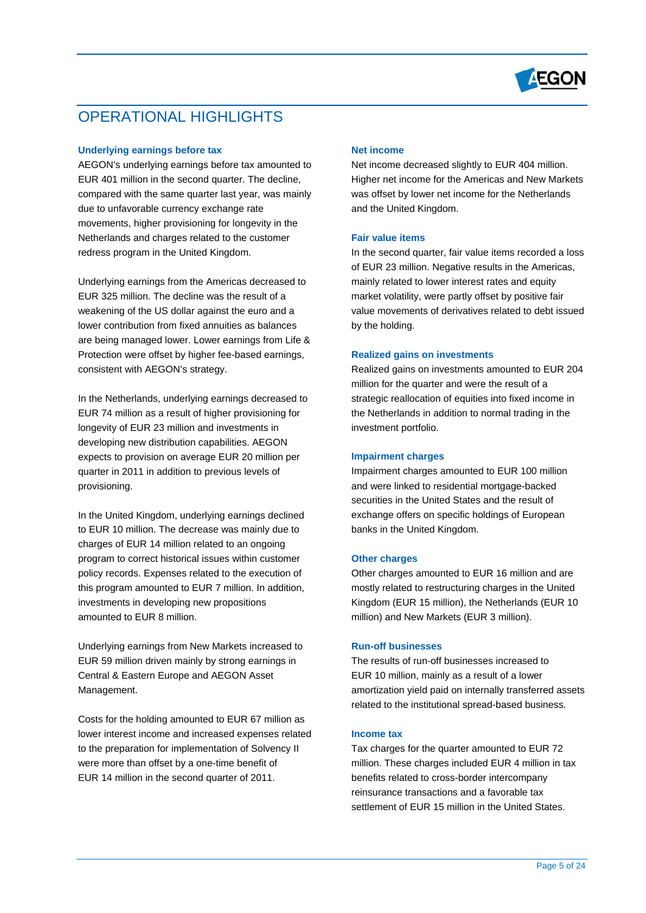

# OPERATIONAL HIGHLIGHTS

### **Underlying earnings before tax**

AEGON's underlying earnings before tax amounted to EUR 401 million in the second quarter. The decline, compared with the same quarter last year, was mainly due to unfavorable currency exchange rate movements, higher provisioning for longevity in the Netherlands and charges related to the customer redress program in the United Kingdom.

Underlying earnings from the Americas decreased to EUR 325 million. The decline was the result of a weakening of the US dollar against the euro and a lower contribution from fixed annuities as balances are being managed lower. Lower earnings from Life & Protection were offset by higher fee-based earnings, consistent with AEGON's strategy.

In the Netherlands, underlying earnings decreased to EUR 74 million as a result of higher provisioning for longevity of EUR 23 million and investments in developing new distribution capabilities. AEGON expects to provision on average EUR 20 million per quarter in 2011 in addition to previous levels of provisioning.

In the United Kingdom, underlying earnings declined to EUR 10 million. The decrease was mainly due to charges of EUR 14 million related to an ongoing program to correct historical issues within customer policy records. Expenses related to the execution of this program amounted to EUR 7 million. In addition, investments in developing new propositions amounted to EUR 8 million.

Underlying earnings from New Markets increased to EUR 59 million driven mainly by strong earnings in Central & Eastern Europe and AEGON Asset Management.

Costs for the holding amounted to EUR 67 million as lower interest income and increased expenses related to the preparation for implementation of Solvency II were more than offset by a one-time benefit of EUR 14 million in the second quarter of 2011.

## **Net income**

Net income decreased slightly to EUR 404 million. Higher net income for the Americas and New Markets was offset by lower net income for the Netherlands and the United Kingdom.

#### **Fair value items**

In the second quarter, fair value items recorded a loss of EUR 23 million. Negative results in the Americas, mainly related to lower interest rates and equity market volatility, were partly offset by positive fair value movements of derivatives related to debt issued by the holding.

#### **Realized gains on investments**

Realized gains on investments amounted to EUR 204 million for the quarter and were the result of a strategic reallocation of equities into fixed income in the Netherlands in addition to normal trading in the investment portfolio.

#### **Impairment charges**

Impairment charges amounted to EUR 100 million and were linked to residential mortgage-backed securities in the United States and the result of exchange offers on specific holdings of European banks in the United Kingdom.

#### **Other charges**

Other charges amounted to EUR 16 million and are mostly related to restructuring charges in the United Kingdom (EUR 15 million), the Netherlands (EUR 10 million) and New Markets (EUR 3 million).

#### **Run-off businesses**

The results of run-off businesses increased to EUR 10 million, mainly as a result of a lower amortization yield paid on internally transferred assets related to the institutional spread-based business.

#### **Income tax**

Tax charges for the quarter amounted to EUR 72 million. These charges included EUR 4 million in tax benefits related to cross-border intercompany reinsurance transactions and a favorable tax settlement of EUR 15 million in the United States.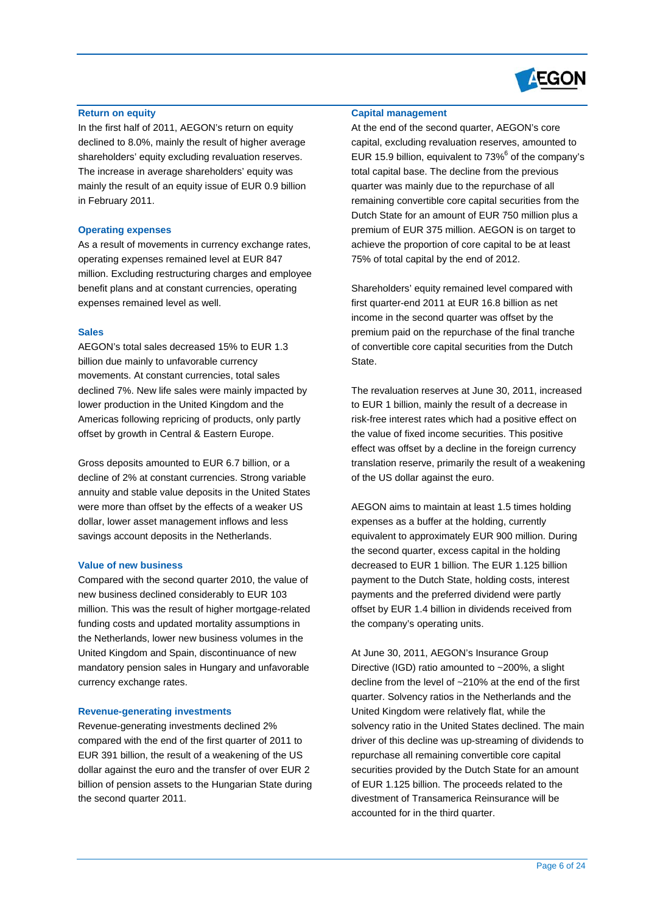

#### **Return on equity**

In the first half of 2011, AEGON's return on equity declined to 8.0%, mainly the result of higher average shareholders' equity excluding revaluation reserves. The increase in average shareholders' equity was mainly the result of an equity issue of EUR 0.9 billion in February 2011.

#### **Operating expenses**

As a result of movements in currency exchange rates, operating expenses remained level at EUR 847 million. Excluding restructuring charges and employee benefit plans and at constant currencies, operating expenses remained level as well.

#### **Sales**

AEGON's total sales decreased 15% to EUR 1.3 billion due mainly to unfavorable currency movements. At constant currencies, total sales declined 7%. New life sales were mainly impacted by lower production in the United Kingdom and the Americas following repricing of products, only partly offset by growth in Central & Eastern Europe.

Gross deposits amounted to EUR 6.7 billion, or a decline of 2% at constant currencies. Strong variable annuity and stable value deposits in the United States were more than offset by the effects of a weaker US dollar, lower asset management inflows and less savings account deposits in the Netherlands.

#### **Value of new business**

Compared with the second quarter 2010, the value of new business declined considerably to EUR 103 million. This was the result of higher mortgage-related funding costs and updated mortality assumptions in the Netherlands, lower new business volumes in the United Kingdom and Spain, discontinuance of new mandatory pension sales in Hungary and unfavorable currency exchange rates.

#### **Revenue-generating investments**

Revenue-generating investments declined 2% compared with the end of the first quarter of 2011 to EUR 391 billion, the result of a weakening of the US dollar against the euro and the transfer of over EUR 2 billion of pension assets to the Hungarian State during the second quarter 2011.

## **Capital management**

At the end of the second quarter, AEGON's core capital, excluding revaluation reserves, amounted to EUR 15.9 billion, equivalent to  $73\%$ <sup>6</sup> of the company's total capital base. The decline from the previous quarter was mainly due to the repurchase of all remaining convertible core capital securities from the Dutch State for an amount of EUR 750 million plus a premium of EUR 375 million. AEGON is on target to achieve the proportion of core capital to be at least 75% of total capital by the end of 2012.

Shareholders' equity remained level compared with first quarter-end 2011 at EUR 16.8 billion as net income in the second quarter was offset by the premium paid on the repurchase of the final tranche of convertible core capital securities from the Dutch State.

The revaluation reserves at June 30, 2011, increased to EUR 1 billion, mainly the result of a decrease in risk-free interest rates which had a positive effect on the value of fixed income securities. This positive effect was offset by a decline in the foreign currency translation reserve, primarily the result of a weakening of the US dollar against the euro.

AEGON aims to maintain at least 1.5 times holding expenses as a buffer at the holding, currently equivalent to approximately EUR 900 million. During the second quarter, excess capital in the holding decreased to EUR 1 billion. The EUR 1.125 billion payment to the Dutch State, holding costs, interest payments and the preferred dividend were partly offset by EUR 1.4 billion in dividends received from the company's operating units.

At June 30, 2011, AEGON's Insurance Group Directive (IGD) ratio amounted to ~200%, a slight decline from the level of ~210% at the end of the first quarter. Solvency ratios in the Netherlands and the United Kingdom were relatively flat, while the solvency ratio in the United States declined. The main driver of this decline was up-streaming of dividends to repurchase all remaining convertible core capital securities provided by the Dutch State for an amount of EUR 1.125 billion. The proceeds related to the divestment of Transamerica Reinsurance will be accounted for in the third quarter.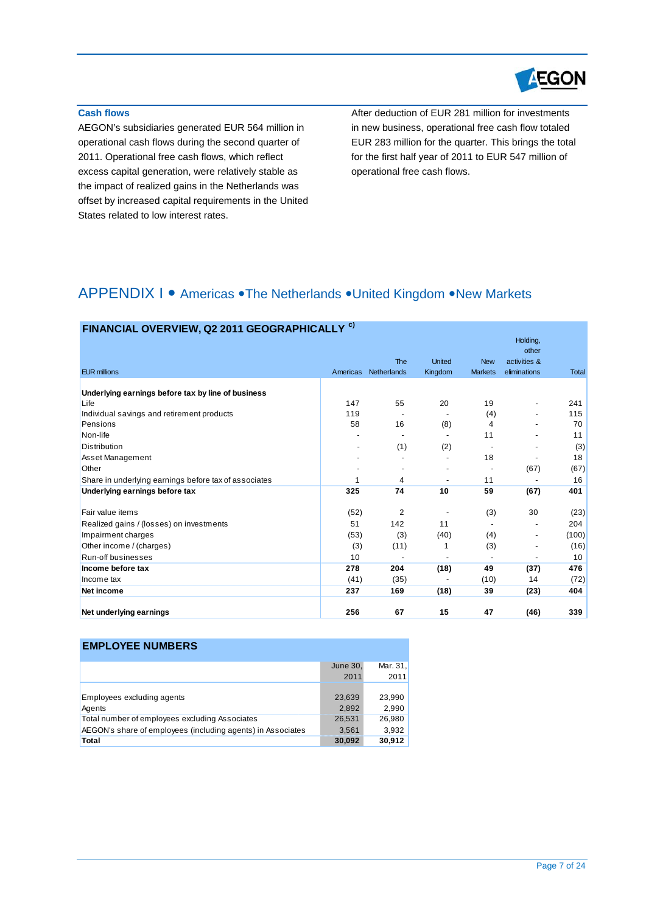

# **Cash flows**

AEGON's subsidiaries generated EUR 564 million in operational cash flows during the second quarter of 2011. Operational free cash flows, which reflect excess capital generation, were relatively stable as the impact of realized gains in the Netherlands was offset by increased capital requirements in the United States related to low interest rates.

After deduction of EUR 281 million for investments in new business, operational free cash flow totaled EUR 283 million for the quarter. This brings the total for the first half year of 2011 to EUR 547 million of operational free cash flows.

# APPENDIX I • Americas • The Netherlands • United Kingdom • New Markets

| FINANCIAL OVERVIEW, Q2 2011 GEOGRAPHICALLY <sup>c)</sup>   |          |                |               |                |                                   |       |
|------------------------------------------------------------|----------|----------------|---------------|----------------|-----------------------------------|-------|
|                                                            |          | <b>The</b>     | <b>United</b> | <b>New</b>     | Holding,<br>other<br>activities & |       |
| <b>EUR millions</b>                                        | Americas | Netherlands    | Kingdom       | <b>Markets</b> | eliminations                      | Total |
|                                                            |          |                |               |                |                                   |       |
| Underlying earnings before tax by line of business<br>Life | 147      | 55             | 20            | 19             |                                   | 241   |
| Individual savings and retirement products                 | 119      |                |               |                | $\overline{a}$                    | 115   |
| Pensions                                                   | 58       | 16             | (8)           | (4)<br>4       |                                   | 70    |
| Non-life                                                   |          |                |               | 11             |                                   | 11    |
| <b>Distribution</b>                                        |          |                |               |                |                                   |       |
|                                                            |          | (1)            | (2)           |                |                                   | (3)   |
| Asset Management                                           |          |                |               | 18             |                                   | 18    |
| Other                                                      |          |                |               |                | (67)                              | (67)  |
| Share in underlying earnings before tax of associates      |          | 4              |               | 11             |                                   | 16    |
| Underlying earnings before tax                             | 325      | 74             | 10            | 59             | (67)                              | 401   |
| Fair value items                                           | (52)     | $\overline{2}$ |               | (3)            | 30                                | (23)  |
| Realized gains / (losses) on investments                   | 51       | 142            | 11            |                |                                   | 204   |
| Impairment charges                                         | (53)     | (3)            | (40)          | (4)            | $\overline{a}$                    | (100) |
| Other income / (charges)                                   | (3)      | (11)           |               | (3)            |                                   | (16)  |
| Run-off businesses                                         | 10       |                |               |                |                                   | 10    |
| Income before tax                                          | 278      | 204            | (18)          | 49             | (37)                              | 476   |
| Income tax                                                 | (41)     | (35)           |               | (10)           | 14                                | (72)  |
| Net income                                                 | 237      | 169            | (18)          | 39             | (23)                              | 404   |
| Net underlying earnings                                    | 256      | 67             | 15            | 47             | (46)                              | 339   |

| <b>EMPLOYEE NUMBERS</b> |  |  |
|-------------------------|--|--|
|-------------------------|--|--|

|                                                             | June 30, | Mar. 31, |
|-------------------------------------------------------------|----------|----------|
|                                                             | 2011     | 2011     |
|                                                             |          |          |
| Employees excluding agents                                  | 23,639   | 23,990   |
| Agents                                                      | 2,892    | 2.990    |
| Total number of employees excluding Associates              | 26,531   | 26,980   |
| AEGON's share of employees (including agents) in Associates | 3,561    | 3,932    |
| Total                                                       | 30,092   | 30,912   |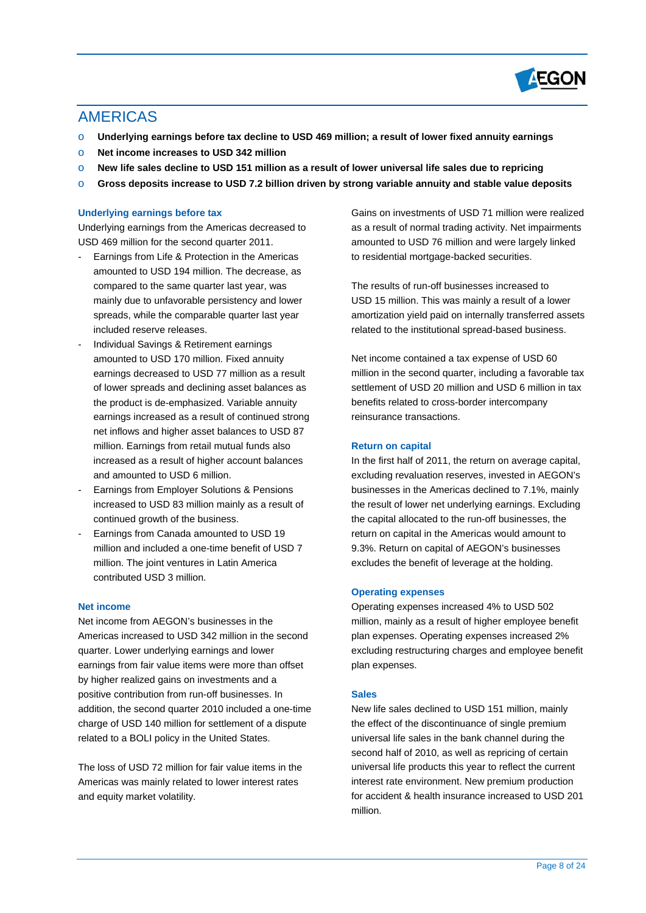

# AMERICAS

- o **Underlying earnings before tax decline to USD 469 million; a result of lower fixed annuity earnings**
- o **Net income increases to USD 342 million**
- o **New life sales decline to USD 151 million as a result of lower universal life sales due to repricing**
- o **Gross deposits increase to USD 7.2 billion driven by strong variable annuity and stable value deposits**

# **Underlying earnings before tax**

Underlying earnings from the Americas decreased to USD 469 million for the second quarter 2011.

- Earnings from Life & Protection in the Americas amounted to USD 194 million. The decrease, as compared to the same quarter last year, was mainly due to unfavorable persistency and lower spreads, while the comparable quarter last year included reserve releases.
- Individual Savings & Retirement earnings amounted to USD 170 million. Fixed annuity earnings decreased to USD 77 million as a result of lower spreads and declining asset balances as the product is de-emphasized. Variable annuity earnings increased as a result of continued strong net inflows and higher asset balances to USD 87 million. Earnings from retail mutual funds also increased as a result of higher account balances and amounted to USD 6 million.
- Earnings from Employer Solutions & Pensions increased to USD 83 million mainly as a result of continued growth of the business.
- Earnings from Canada amounted to USD 19 million and included a one-time benefit of USD 7 million. The joint ventures in Latin America contributed USD 3 million.

### **Net income**

Net income from AEGON's businesses in the Americas increased to USD 342 million in the second quarter. Lower underlying earnings and lower earnings from fair value items were more than offset by higher realized gains on investments and a positive contribution from run-off businesses. In addition, the second quarter 2010 included a one-time charge of USD 140 million for settlement of a dispute related to a BOLI policy in the United States.

The loss of USD 72 million for fair value items in the Americas was mainly related to lower interest rates and equity market volatility.

Gains on investments of USD 71 million were realized as a result of normal trading activity. Net impairments amounted to USD 76 million and were largely linked to residential mortgage-backed securities.

The results of run-off businesses increased to USD 15 million. This was mainly a result of a lower amortization yield paid on internally transferred assets related to the institutional spread-based business.

Net income contained a tax expense of USD 60 million in the second quarter, including a favorable tax settlement of USD 20 million and USD 6 million in tax benefits related to cross-border intercompany reinsurance transactions.

### **Return on capital**

In the first half of 2011, the return on average capital, excluding revaluation reserves, invested in AEGON's businesses in the Americas declined to 7.1%, mainly the result of lower net underlying earnings. Excluding the capital allocated to the run-off businesses, the return on capital in the Americas would amount to 9.3%. Return on capital of AEGON's businesses excludes the benefit of leverage at the holding.

### **Operating expenses**

Operating expenses increased 4% to USD 502 million, mainly as a result of higher employee benefit plan expenses. Operating expenses increased 2% excluding restructuring charges and employee benefit plan expenses.

### **Sales**

New life sales declined to USD 151 million, mainly the effect of the discontinuance of single premium universal life sales in the bank channel during the second half of 2010, as well as repricing of certain universal life products this year to reflect the current interest rate environment. New premium production for accident & health insurance increased to USD 201 million.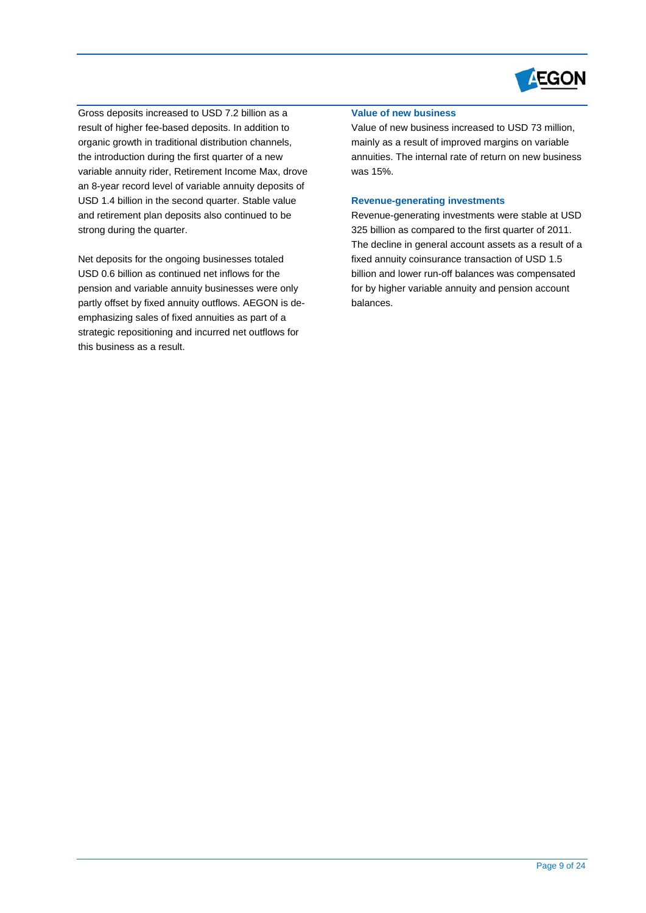

Gross deposits increased to USD 7.2 billion as a result of higher fee-based deposits. In addition to organic growth in traditional distribution channels, the introduction during the first quarter of a new variable annuity rider, Retirement Income Max, drov e an 8-year record level of variable annuity deposits of USD 1.4 billion in the seco nd quarter. Stable value and retirement plan deposits also continued to be strong during the quarter.

pension and variable annuity businesses were only emphasizing sales of fixed annuities as part of a strategic repositioning and incurred net outflows for this business as a result. Net deposits for the ongoing businesses totaled USD 0.6 billion as continued net inflows for the partly offset by fixed annuity outflows. AEGON is de-

# **Value of new business**

Value of new business increased to USD 73 million, mainly as a result of improved margins on variable annuities. The internal rate of return on new business was 15%.

#### **Revenue-generating investments**

Revenue-generating investments were stable at USD 325 billion as compared to the first quarter of 2011. The decline in general account assets as a result of a fixed annuity coinsurance transaction of USD 1.5 billion and lower run-off balances was compensated for by higher variable annuity and pension account balances.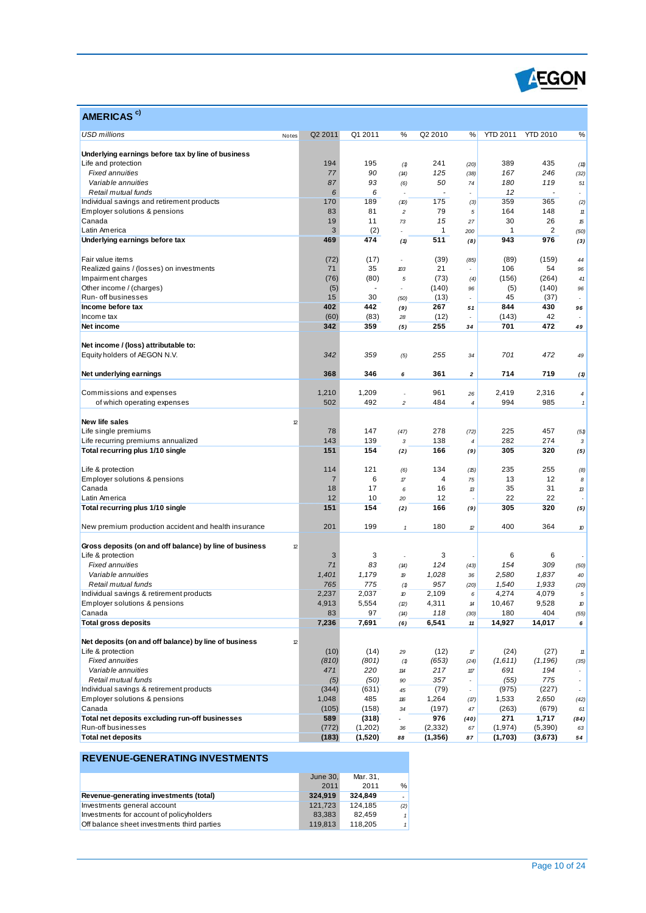

| AMERICAS <sup>c)</sup>                                  |                       |              |                                                          |                       |                                   |                 |                 |                          |
|---------------------------------------------------------|-----------------------|--------------|----------------------------------------------------------|-----------------------|-----------------------------------|-----------------|-----------------|--------------------------|
| <b>USD millions</b>                                     | Q2 2011<br>Notes      | Q1 2011      | %                                                        | Q2 2010               | %                                 | <b>YTD 2011</b> | <b>YTD 2010</b> | %                        |
| Underlying earnings before tax by line of business      |                       |              |                                                          |                       |                                   |                 |                 |                          |
| Life and protection                                     | 194                   | 195          | (1)                                                      | 241                   | (20)                              | 389             | 435             | (11)                     |
| <b>Fixed annuities</b>                                  | 77                    | 90           | (14)                                                     | 125                   | (38)                              | 167             | 246             | (32)                     |
| Variable annuities                                      | 87                    | 93           | (6)                                                      | 50                    | 74                                | 180             | 119             | 51                       |
| Retail mutual funds                                     | 6                     | 6            |                                                          |                       |                                   | 12              |                 | $\overline{a}$           |
| Individual savings and retirement products              | 170                   | 189          | (D)                                                      | 175                   | (3)                               | 359             | 365             | (2)                      |
| Employer solutions & pensions                           | 83                    | 81           | $\overline{c}$                                           | 79                    | 5                                 | 164             | 148             | $11\,$                   |
| Canada                                                  | 19                    | 11           | 73                                                       | 15                    | 27                                | 30              | 26              | 15                       |
| Latin America                                           | 3                     | (2)          |                                                          | 1                     | 200                               | $\overline{1}$  | 2               | (50)                     |
| Underlying earnings before tax                          | 469                   | 474          | (1)                                                      | 511                   | (8)                               | 943             | 976             | (3)                      |
| Fair value items                                        | (72)                  | (17)         | ÷                                                        | (39)                  | (85)                              | (89)            | (159)           | 44                       |
| Realized gains / (losses) on investments                | 71                    | 35           | 103                                                      | 21                    |                                   | 106             | 54              | 96                       |
| Impairment charges                                      | (76)                  | (80)         | $\sqrt{5}$                                               | (73)                  | (4)                               | (156)           | (264)           | 41                       |
| Other income / (charges)                                | (5)                   |              |                                                          | (140)                 | 96                                | (5)             | (140)           | 96                       |
| Run- off businesses                                     | 15                    | 30           | (50)                                                     | (13)                  |                                   | 45              | (37)            |                          |
| Income before tax                                       | 402                   | 442          | (9)                                                      | 267                   | 51                                | 844             | 430             | 96                       |
| Income tax                                              | (60)                  | (83)         | 28                                                       | (12)                  |                                   | (143)           | 42              |                          |
| Net income                                              | 342                   | 359          | (5)                                                      | 255                   | 34                                | 701             | 472             | 49                       |
| Net income / (loss) attributable to:                    |                       |              |                                                          |                       |                                   |                 |                 |                          |
| Equity holders of AEGON N.V.                            | 342                   | 359          | (5)                                                      | 255                   | 34                                | 701             | 472             | 49                       |
| Net underlying earnings                                 | 368                   | 346          | 6                                                        | 361                   | 2                                 | 714             | 719             | (1)                      |
| Commissions and expenses                                | 1,210                 | 1,209        |                                                          | 961                   | 26                                | 2,419           | 2,316           | $\boldsymbol{4}$         |
| of which operating expenses                             | 502                   | 492          | $\overline{\mathbf{c}}$                                  | 484                   | 4                                 | 994             | 985             | $\mathbf{1}$             |
|                                                         |                       |              |                                                          |                       |                                   |                 |                 |                          |
| New life sales<br>Life single premiums                  | 12<br>78              | 147          |                                                          | 278                   |                                   | 225             | 457             |                          |
| Life recurring premiums annualized                      | 143                   | 139          | (47)<br>3                                                | 138                   | (72)<br>$\overline{4}$            | 282             | 274             | (51)<br>3                |
| Total recurring plus 1/10 single                        | 151                   | 154          | (2)                                                      | 166                   | (9)                               | 305             | 320             | (5)                      |
|                                                         |                       | 121          |                                                          |                       |                                   | 235             | 255             |                          |
| Life & protection                                       | 114<br>$\overline{7}$ | 6            | (6)<br>$\sqrt{n}$                                        | 134<br>$\overline{4}$ | (15)<br>75                        | 13              | 12              | (8)                      |
| Employer solutions & pensions<br>Canada                 | 18                    | 17           |                                                          | 16                    |                                   | 35              | 31              | 8                        |
| Latin America                                           | 12                    | 10           | 6<br>20                                                  | 12                    | 13                                | 22              | 22              | 13                       |
| Total recurring plus 1/10 single                        | 151                   | 154          | (2)                                                      | 166                   | (9)                               | 305             | 320             | (5)                      |
|                                                         |                       |              |                                                          |                       |                                   |                 |                 |                          |
| New premium production accident and health insurance    | 201                   | 199          | $\pmb{\mathcal{I}}$                                      | 180                   | $\mathcal D$                      | 400             | 364             | 10                       |
| Gross deposits (on and off balance) by line of business | 12                    |              |                                                          |                       |                                   |                 |                 |                          |
| Life & protection                                       | 3                     | 3            |                                                          | 3                     |                                   | 6               | 6               |                          |
| <b>Fixed annuities</b>                                  | 71                    | 83           | (14)                                                     | 124                   | (43)                              | 154             | 309             | (50)                     |
| Variable annuities<br>Retail mutual funds               | 1,401<br>765          | 1,179<br>775 | 19                                                       | 1,028<br>957          | 36                                | 2,580           | 1,837           | 40                       |
| Individual savings & retirement products                | 2,237                 | 2,037        | (1)                                                      | 2,109                 | (20)                              | 1,540<br>4,274  | 1,933<br>4,079  | (20)                     |
| Employer solutions & pensions                           | 4,913                 | 5,554        | 10                                                       | 4,311                 | 6<br>$\boldsymbol{\mathcal{U}}$   | 10,467          | 9,528           | $\sqrt{5}$<br>10         |
| Canada                                                  | 83                    | 97           | (2)<br>(14)                                              | 118                   | (30)                              | 180             | 404             | (55)                     |
| <b>Total gross deposits</b>                             | 7,236                 | 7,691        | (6)                                                      | 6,541                 | 11                                | 14,927          | 14,017          | 6                        |
| Net deposits (on and off balance) by line of business   | 12                    |              |                                                          |                       |                                   |                 |                 |                          |
| Life & protection                                       | (10)                  | (14)         | 29                                                       | (12)                  | $\ensuremath{\mathcal{T}}\xspace$ | (24)            | (27)            | $11\,$                   |
| <b>Fixed annuities</b>                                  | (810)                 | (801)        | $\left( \, \textcolor{red}{\textbf{\textit{1}}} \right)$ | (653)                 | (24)                              | (1,611)         | (1, 196)        | (35)                     |
| Variable annuities                                      | 471                   | 220          | 114                                                      | 217                   | $117\,$                           | 691             | 194             |                          |
| Retail mutual funds                                     | (5)                   | (50)         | 90                                                       | 357                   | ÷                                 | (55)            | 775             | $\overline{\phantom{a}}$ |
| Individual savings & retirement products                | (344)                 | (631)        | 45                                                       | (79)                  | $\overline{\phantom{a}}$          | (975)           | (227)           | $\overline{\phantom{a}}$ |
| Employer solutions & pensions                           | 1,048                 | 485          | 116                                                      | 1,264                 | (17)                              | 1,533           | 2,650           | (42)                     |
| Canada                                                  | (105)                 | (158)        | 34                                                       | (197)                 | 47                                | (263)           | (679)           | 61                       |
| Total net deposits excluding run-off businesses         | 589                   | (318)        |                                                          | 976                   | (40)                              | 271             | 1,717           | (84)                     |
| Run-off businesses                                      | (772)                 | (1,202)      | 36                                                       | (2, 332)              | 67                                | (1, 974)        | (5,390)         | 63                       |
| <b>Total net deposits</b>                               | (183)                 | (1,520)      | 88                                                       | (1,356)               | 87                                | (1,703)         | (3,673)         | 54                       |

|                                             | June 30, | Mar. 31. |     |
|---------------------------------------------|----------|----------|-----|
|                                             | 2011     | 2011     | %   |
| Revenue-generating investments (total)      | 324.919  | 324.849  |     |
| Investments general account                 | 121.723  | 124.185  | (2) |
| Investments for account of policyholders    | 83.383   | 82.459   |     |
| Off balance sheet investments third parties | 119.813  | 118.205  |     |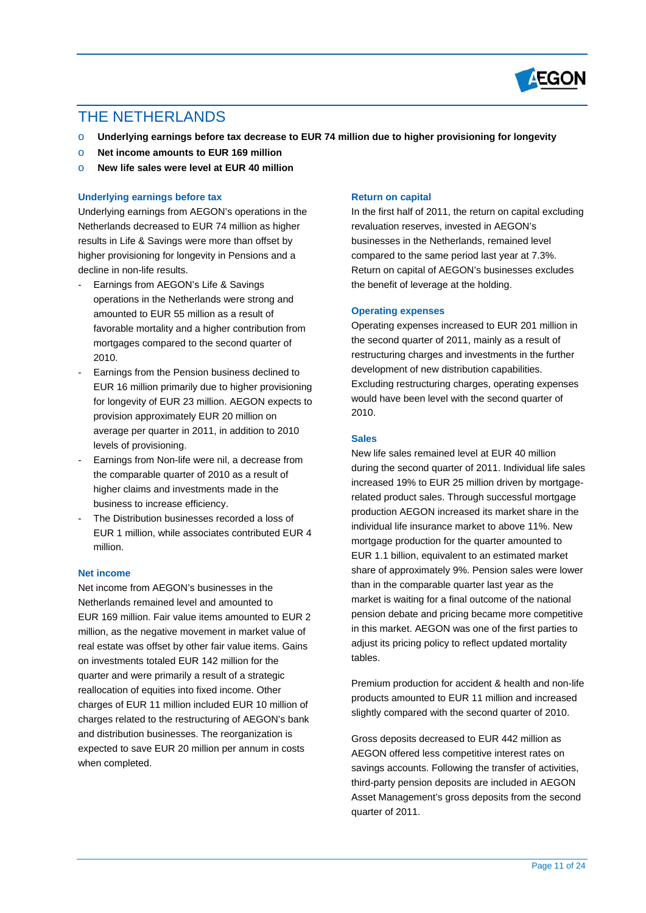

# THE NETHERLANDS

- o **Underlying earnings before tax decrease to EUR 74 million due to higher provisioning for longevity**
- o **Net income amounts to EUR 169 million**
- o **New life sales were level at EUR 40 million**

### **Underlying earnings before tax**

Underlying earnings from AEGON's operations in the Netherlands decreased to EUR 74 million as higher results in Life & Savings were more than offset by higher provisioning for longevity in Pensions and a decline in non-life results.

- Earnings from AEGON's Life & Savings operations in the Netherlands were strong and amounted to EUR 55 million as a result of favorable mortality and a higher contribution from mortgages compared to the second quarter of 2010.
- Earnings from the Pension business declined to EUR 16 million primarily due to higher provisioning for longevity of EUR 23 million. AEGON expects to provision approximately EUR 20 million on average per quarter in 2011, in addition to 2010 levels of provisioning.
- Earnings from Non-life were nil, a decrease from the comparable quarter of 2010 as a result of higher claims and investments made in the business to increase efficiency.
- The Distribution businesses recorded a loss of EUR 1 million, while associates contributed EUR 4 million.

### **Net income**

Net income from AEGON's businesses in the Netherlands remained level and amounted to EUR 169 million. Fair value items amounted to EUR 2 million, as the negative movement in market value of real estate was offset by other fair value items. Gains on investments totaled EUR 142 million for the quarter and were primarily a result of a strategic reallocation of equities into fixed income. Other charges of EUR 11 million included EUR 10 million of charges related to the restructuring of AEGON's bank and distribution businesses. The reorganization is expected to save EUR 20 million per annum in costs when completed.

#### **Return on capital**

In the first half of 2011, the return on capital excluding revaluation reserves, invested in AEGON's businesses in the Netherlands, remained level compared to the same period last year at 7.3%. Return on capital of AEGON's businesses excludes the benefit of leverage at the holding.

#### **Operating expenses**

Operating expenses increased to EUR 201 million in the second quarter of 2011, mainly as a result of restructuring charges and investments in the further development of new distribution capabilities. Excluding restructuring charges, operating expenses would have been level with the second quarter of 2010.

#### **Sales**

New life sales remained level at EUR 40 million during the second quarter of 2011. Individual life sales increased 19% to EUR 25 million driven by mortgagerelated product sales. Through successful mortgage production AEGON increased its market share in the individual life insurance market to above 11%. New mortgage production for the quarter amounted to EUR 1.1 billion, equivalent to an estimated market share of approximately 9%. Pension sales were lower than in the comparable quarter last year as the market is waiting for a final outcome of the national pension debate and pricing became more competitive in this market. AEGON was one of the first parties to adjust its pricing policy to reflect updated mortality tables.

Premium production for accident & health and non-life products amounted to EUR 11 million and increased slightly compared with the second quarter of 2010.

Gross deposits decreased to EUR 442 million as AEGON offered less competitive interest rates on savings accounts. Following the transfer of activities, third-party pension deposits are included in AEGON Asset Management's gross deposits from the second quarter of 2011.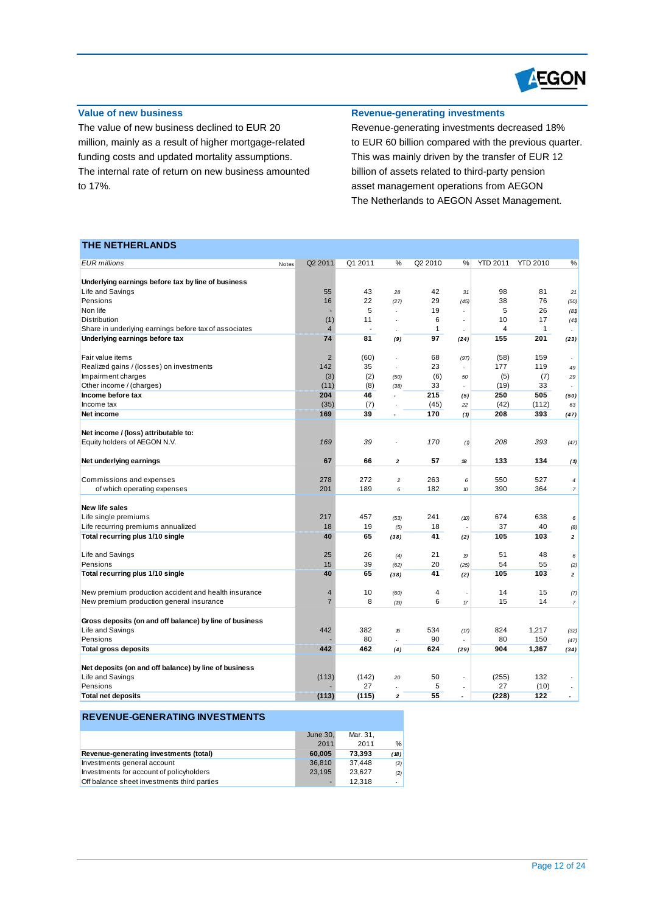

# **Value of new business**

The value of new business declined to EUR 20 million, mainly as a result of higher mortgage-related funding costs and updated mortality assumptions. The internal rate of return on new business amounted to 17%.

# **Revenue-generating investments**

Revenue-generating investments decreased 18% to EUR 60 billion compared with the previous quarter. This was mainly driven by the transfer of EUR 12 billion of assets related to third-party pension asset management operations from AEGON The Netherlands to AEGON Asset Management.

# **THE NETHERLANDS**

| <b>EUR</b> millions                                     | Q2 2011<br>Notes     | Q1 2011              | %              | Q2 2010             | %                        | <b>YTD 2011</b>      | <b>YTD 2010</b>    | %                        |
|---------------------------------------------------------|----------------------|----------------------|----------------|---------------------|--------------------------|----------------------|--------------------|--------------------------|
|                                                         |                      |                      |                |                     |                          |                      |                    |                          |
| Underlying earnings before tax by line of business      |                      |                      |                |                     |                          |                      |                    |                          |
| Life and Savings                                        | 55                   | 43                   | 28             | 42                  | 31                       | 98                   | 81                 | 21                       |
| Pensions                                                | 16                   | 22                   | (27)           | 29                  | (45)                     | 38                   | 76                 | (50)                     |
| Non life                                                |                      | 5                    | $\overline{a}$ | 19                  |                          | 5                    | 26                 | (8 <sub>0</sub> )        |
| Distribution                                            | (1)                  | 11<br>$\blacksquare$ | ÷,             | 6<br>$\mathbf{1}$   | $\overline{a}$           | 10<br>$\overline{4}$ | 17<br>$\mathbf{1}$ | (41)                     |
| Share in underlying earnings before tax of associates   | $\overline{4}$<br>74 | 81                   |                | 97                  |                          | 155                  | 201                |                          |
| Underlying earnings before tax                          |                      |                      | (9)            |                     | (24)                     |                      |                    | (23)                     |
| Fair value items                                        | $\overline{2}$       | (60)                 |                | 68                  | (97)                     | (58)                 | 159                |                          |
| Realized gains / (losses) on investments                | 142                  | 35                   | $\overline{a}$ | 23                  | ÷                        | 177                  | 119                | 49                       |
| Impairment charges                                      | (3)                  | (2)                  | (50)           | (6)                 | 50                       | (5)                  | (7)                | 29                       |
| Other income / (charges)                                | (11)                 | (8)                  | (38)           | 33                  | ٠                        | (19)                 | 33                 |                          |
| Income before tax                                       | 204                  | 46                   | $\overline{a}$ | 215                 | (5)                      | 250                  | 505                | (50)                     |
| Income tax                                              | (35)                 | (7)                  | ÷,             | (45)                | 22                       | (42)                 | (112)              | 63                       |
| Net income                                              | 169                  | 39                   | ÷.             | 170                 | (1)                      | 208                  | 393                | (47)                     |
|                                                         |                      |                      |                |                     |                          |                      |                    |                          |
| Net income / (loss) attributable to:                    |                      |                      |                |                     |                          |                      |                    |                          |
| Equity holders of AEGON N.V.                            | 169                  | 39                   |                | 170                 | (1)                      | 208                  | 393                | (47)                     |
|                                                         |                      |                      |                |                     |                          |                      |                    |                          |
| Net underlying earnings                                 | 67                   | 66                   | $\overline{2}$ | 57                  | 18                       | 133                  | 134                | (1)                      |
| Commissions and expenses                                | 278                  | 272                  | $\overline{c}$ | 263                 | 6                        | 550                  | 527                | $\overline{4}$           |
| of which operating expenses                             | 201                  | 189                  | 6              | 182                 | $\boldsymbol{v}$         | 390                  | 364                | $\overline{7}$           |
|                                                         |                      |                      |                |                     |                          |                      |                    |                          |
| New life sales                                          |                      |                      |                |                     |                          |                      |                    |                          |
| Life single premiums                                    | 217                  | 457                  | (53)           | 241                 | (10)                     | 674                  | 638                | 6                        |
| Life recurring premiums annualized                      | 18                   | 19                   | (5)            | 18                  |                          | 37                   | 40                 | (8)                      |
| Total recurring plus 1/10 single                        | 40                   | 65                   | (38)           | 41                  | (2)                      | 105                  | 103                | $\mathbf{2}$             |
|                                                         |                      |                      |                |                     |                          |                      |                    |                          |
| Life and Savings                                        | 25                   | 26                   | (4)            | 21                  | $\boldsymbol{p}$         | 51                   | 48                 | 6                        |
| Pensions                                                | 15                   | 39                   | (62)           | 20                  | (25)                     | 54                   | 55                 | (2)                      |
| Total recurring plus 1/10 single                        | 40                   | 65                   | (38)           | 41                  | (2)                      | 105                  | 103                | $\mathbf{2}$             |
|                                                         |                      |                      |                |                     |                          |                      |                    |                          |
| New premium production accident and health insurance    | $\overline{4}$       | 10<br>8              | (60)           | $\overline{4}$<br>6 |                          | 14                   | 15<br>14           | (7)                      |
| New premium production general insurance                | $\overline{7}$       |                      | (13)           |                     | $\sqrt{n}$               | 15                   |                    | $\overline{7}$           |
| Gross deposits (on and off balance) by line of business |                      |                      |                |                     |                          |                      |                    |                          |
| Life and Savings                                        | 442                  | 382                  | 16             | 534                 | (17)                     | 824                  | 1,217              | (32)                     |
| Pensions                                                |                      | 80                   |                | 90                  |                          | 80                   | 150                | (47)                     |
| <b>Total gross deposits</b>                             | 442                  | 462                  | (4)            | 624                 | (29)                     | 904                  | 1,367              | (34)                     |
|                                                         |                      |                      |                |                     |                          |                      |                    |                          |
| Net deposits (on and off balance) by line of business   |                      |                      |                |                     |                          |                      |                    |                          |
| Life and Savings                                        | (113)                | (142)                | 20             | 50                  | $\overline{\phantom{a}}$ | (255)                | 132                |                          |
| Pensions                                                |                      | 27                   |                | 5                   |                          | 27                   | (10)               |                          |
| <b>Total net deposits</b>                               | (113)                | (115)                | $\mathbf 2$    | 55                  | $\overline{a}$           | (228)                | 122                | $\overline{\phantom{a}}$ |
|                                                         |                      |                      |                |                     |                          |                      |                    |                          |

|                                             | June 30, | Mar. 31. |      |
|---------------------------------------------|----------|----------|------|
|                                             | 2011     | 2011     | $\%$ |
| Revenue-generating investments (total)      | 60.005   | 73.393   | (18) |
| Investments general account                 | 36,810   | 37.448   | (2)  |
| Investments for account of policyholders    | 23.195   | 23.627   | (2)  |
| Off balance sheet investments third parties | ٠        | 12.318   |      |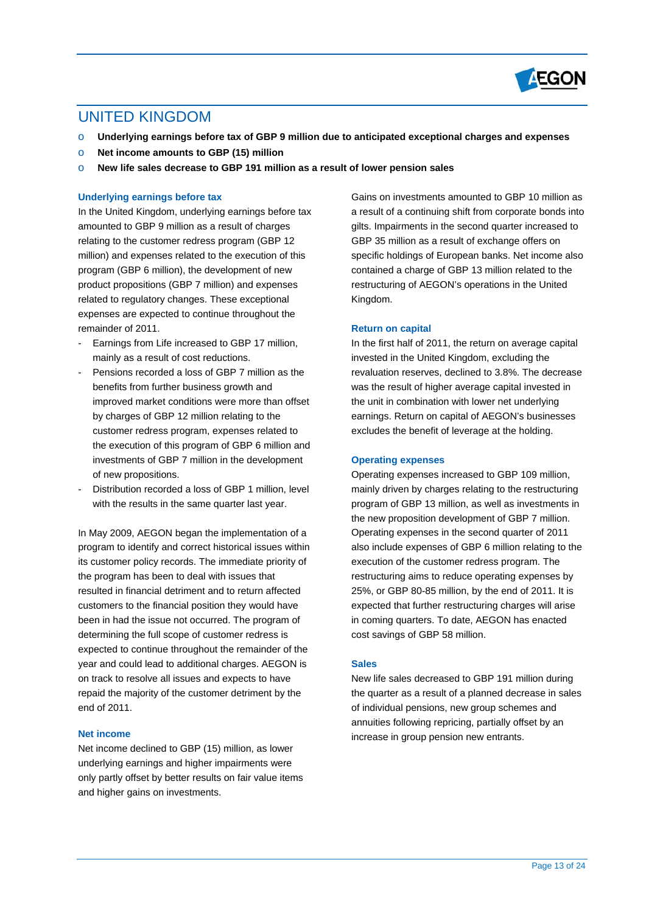

# UNITED KINGDOM

- o **Underlying earnings before tax of GBP 9 million due to anticipated exceptional charges and expenses**
- o **Net income amounts to GBP (15) million**
- o **New life sales decrease to GBP 191 million as a result of lower pension sales**

# **Underlying earnings before tax**

In the United Kingdom, underlying earnings before tax amounted to GBP 9 million as a result of charges relating to the customer redress program (GBP 12 million) and expenses related to the execution of this program (GBP 6 million), the development of new product propositions (GBP 7 million) and expenses related to regulatory changes. These exceptional expenses are expected to continue throughout the remainder of 2011.

- Earnings from Life increased to GBP 17 million. mainly as a result of cost reductions.
- Pensions recorded a loss of GBP 7 million as the benefits from further business growth and improved market conditions were more than offset by charges of GBP 12 million relating to the customer redress program, expenses related to the execution of this program of GBP 6 million and investments of GBP 7 million in the development of new propositions.
- Distribution recorded a loss of GBP 1 million, level with the results in the same quarter last year.

In May 2009, AEGON began the implementation of a program to identify and correct historical issues within its customer policy records. The immediate priority of the program has been to deal with issues that resulted in financial detriment and to return affected customers to the financial position they would have been in had the issue not occurred. The program of determining the full scope of customer redress is expected to continue throughout the remainder of the year and could lead to additional charges. AEGON is on track to resolve all issues and expects to have repaid the majority of the customer detriment by the end of 2011.

### **Net income**

Net income declined to GBP (15) million, as lower underlying earnings and higher impairments were only partly offset by better results on fair value items and higher gains on investments.

Gains on investments amounted to GBP 10 million as a result of a continuing shift from corporate bonds into gilts. Impairments in the second quarter increased to GBP 35 million as a result of exchange offers on specific holdings of European banks. Net income also contained a charge of GBP 13 million related to the restructuring of AEGON's operations in the United Kingdom.

### **Return on capital**

In the first half of 2011, the return on average capital invested in the United Kingdom, excluding the revaluation reserves, declined to 3.8%. The decrease was the result of higher average capital invested in the unit in combination with lower net underlying earnings. Return on capital of AEGON's businesses excludes the benefit of leverage at the holding.

#### **Operating expenses**

Operating expenses increased to GBP 109 million, mainly driven by charges relating to the restructuring program of GBP 13 million, as well as investments in the new proposition development of GBP 7 million. Operating expenses in the second quarter of 2011 also include expenses of GBP 6 million relating to the execution of the customer redress program. The restructuring aims to reduce operating expenses by 25%, or GBP 80-85 million, by the end of 2011. It is expected that further restructuring charges will arise in coming quarters. To date, AEGON has enacted cost savings of GBP 58 million.

### **Sales**

New life sales decreased to GBP 191 million during the quarter as a result of a planned decrease in sales of individual pensions, new group schemes and annuities following repricing, partially offset by an increase in group pension new entrants.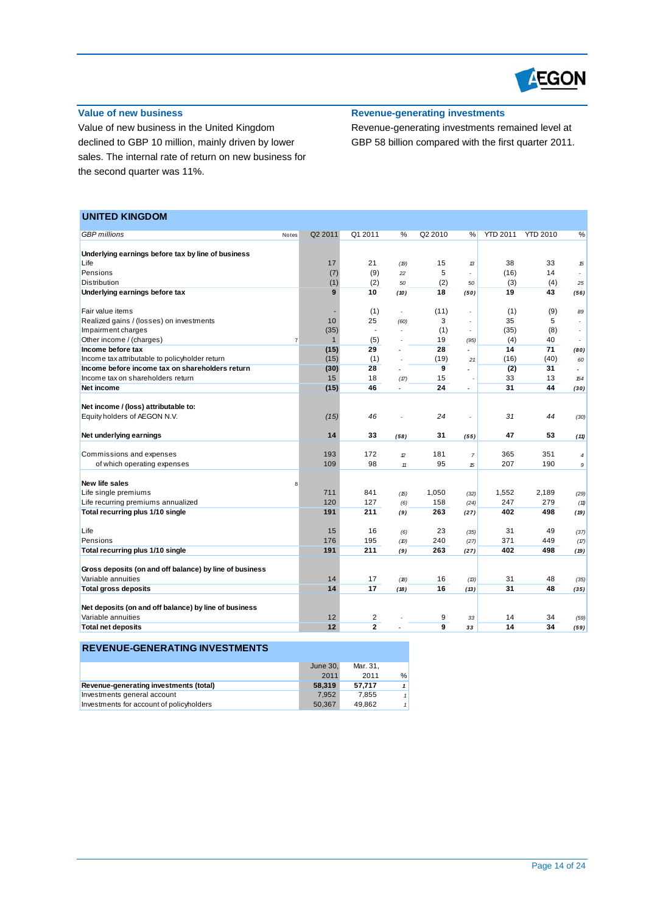

# **Value of new business**

Value of new business in the United Kingdom declined to GBP 10 million, mainly driven by lower sales. The internal rate of return on new business for the second quarter was 11%.

# **Revenue-generating investments**

Revenue-generating investments remained level at GBP 58 billion compared with the first quarter 2011.

# **UNITED KINGDOM**

| <b>GBP</b> millions                                                           | Notes          | Q2 2011      | Q1 2011                  | %             | Q2 2010             | %              | <b>YTD 2011</b> | <b>YTD 2010</b> | %              |
|-------------------------------------------------------------------------------|----------------|--------------|--------------------------|---------------|---------------------|----------------|-----------------|-----------------|----------------|
|                                                                               |                |              |                          |               |                     |                |                 |                 |                |
| Underlying earnings before tax by line of business                            |                |              |                          |               |                     |                |                 |                 |                |
| Life                                                                          |                | 17           | 21                       | (19)          | 15                  | 13             | 38              | 33              | 15             |
| Pensions                                                                      |                | (7)          | (9)                      | 22            | 5                   |                | (16)            | 14              |                |
| <b>Distribution</b>                                                           |                | (1)          | (2)                      | 50            | (2)                 | 50             | (3)             | (4)             | 25             |
| Underlying earnings before tax                                                |                | $\mathbf{Q}$ | 10                       | (10)          | 18                  | (50)           | 19              | 43              | (56)           |
| Fair value items                                                              |                |              | (1)                      | ÷             | (11)                |                | (1)             | (9)             | 89             |
| Realized gains / (losses) on investments                                      |                | 10           | 25                       | (60)          | 3                   |                | 35              | 5               |                |
| Impairment charges                                                            |                | (35)         | $\overline{\phantom{a}}$ |               | (1)                 |                | (35)            | (8)             |                |
| Other income / (charges)                                                      | $\overline{7}$ | $\mathbf{1}$ | (5)                      |               | 19                  | (95)           | (4)             | 40              |                |
| Income before tax                                                             |                | (15)         | 29                       |               | 28                  | $\overline{a}$ | 14              | 71              | (80)           |
| Income tax attributable to policyholder return                                |                | (15)         | (1)                      |               | (19)                | 21             | (16)            | (40)            | 60             |
| Income before income tax on shareholders return                               |                | (30)         | 28                       |               | 9                   |                | (2)             | 31              | $\overline{a}$ |
| Income tax on shareholders return                                             |                | 15           | 18                       | (17)          | 15                  |                | 33              | 13              | 154            |
| Net income                                                                    |                | (15)         | 46                       | ÷.            | 24                  | $\overline{a}$ | 31              | 44              | (30)           |
|                                                                               |                |              |                          |               |                     |                |                 |                 |                |
| Net income / (loss) attributable to:                                          |                |              |                          |               |                     |                |                 |                 |                |
| Equity holders of AEGON N.V.                                                  |                | (15)         | 46                       |               | 24                  | ÷,             | 31              | 44              | (30)           |
|                                                                               |                |              |                          |               |                     |                |                 |                 |                |
| Net underlying earnings                                                       |                | 14           | 33                       | (58)          | 31                  | (55)           | 47              | 53              | (11)           |
|                                                                               |                |              |                          |               |                     |                |                 |                 |                |
| Commissions and expenses                                                      |                | 193          | 172                      | $\mathcal{D}$ | 181                 | $\overline{7}$ | 365             | 351             | 4              |
| of which operating expenses                                                   |                | 109          | 98                       | 11            | 95                  | 15             | 207             | 190             | 9              |
|                                                                               |                |              |                          |               |                     |                |                 |                 |                |
| New life sales                                                                | 8              |              |                          |               |                     |                |                 |                 |                |
| Life single premiums                                                          |                | 711          | 841                      | (15)          | 1,050               | (32)           | 1,552           | 2,189           | (29)           |
| Life recurring premiums annualized                                            |                | 120          | 127                      | (6)           | 158                 | (24)           | 247             | 279             | (11)           |
| Total recurring plus 1/10 single                                              |                | 191          | 211                      | (9)           | 263                 | (27)           | 402             | 498             | (19)           |
|                                                                               |                |              |                          |               |                     |                |                 |                 |                |
| Life                                                                          |                | 15           | 16                       | (6)           | 23                  | (35)           | 31              | 49              | (37)           |
| Pensions                                                                      |                | 176          | 195                      | (D)           | 240                 | (27)           | 371             | 449             | (17)           |
| Total recurring plus 1/10 single                                              |                | 191          | 211                      | (9)           | 263                 | (27)           | 402             | 498             | (19)           |
|                                                                               |                |              |                          |               |                     |                |                 |                 |                |
| Gross deposits (on and off balance) by line of business<br>Variable annuities |                |              |                          |               |                     |                |                 |                 |                |
|                                                                               |                | 14<br>14     | 17<br>17                 | (B)           | 16                  | (13)           | 31              | 48<br>48        | (35)           |
| <b>Total gross deposits</b>                                                   |                |              |                          | (18)          | 16                  | (13)           | 31              |                 | (35)           |
|                                                                               |                |              |                          |               |                     |                |                 |                 |                |
| Net deposits (on and off balance) by line of business<br>Variable annuities   |                | 12           | $\overline{\mathbf{c}}$  |               |                     |                | 14              | 34              |                |
| <b>Total net deposits</b>                                                     |                | 12           | $\overline{2}$           |               | 9<br>$\overline{9}$ | 33             | 14              | 34              | (59)           |
|                                                                               |                |              |                          |               |                     | 33             |                 |                 | (59)           |

|                                          | June 30, | Mar. 31. |   |
|------------------------------------------|----------|----------|---|
|                                          | 2011     | 2011     | % |
| Revenue-generating investments (total)   | 58,319   | 57.717   |   |
| Investments general account              | 7.952    | 7.855    |   |
| Investments for account of policyholders | 50.367   | 49.862   |   |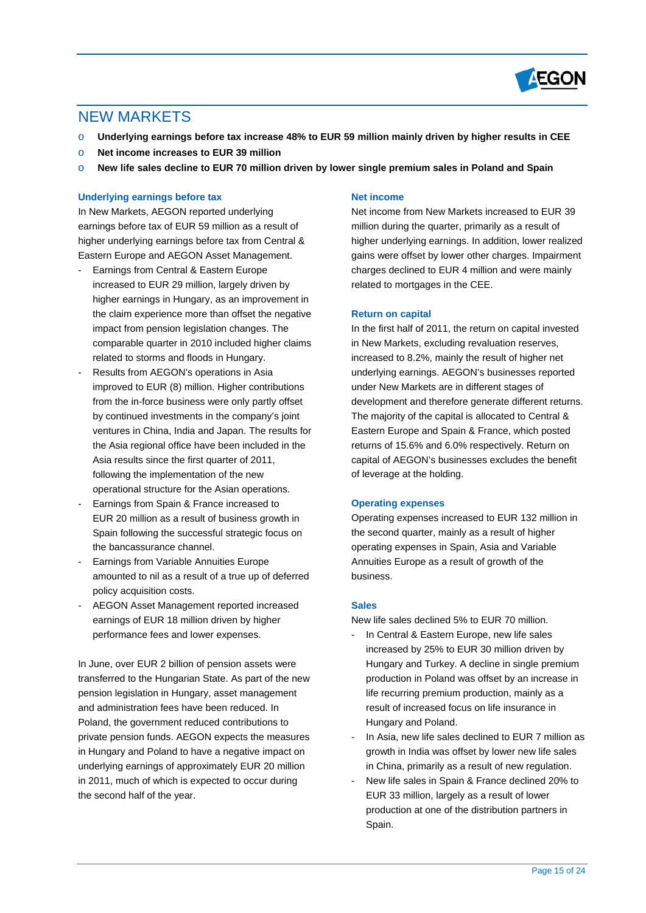

# NEW MARKETS

- Underlying earnings before tax increase 48% to EUR 59 million mainly driven by higher results in CEE
- o **Net income increases to EUR 39 million**
- o **New life sales decline to EUR 70 million driven by lower single premium sales in Poland and Spain**

## **Underlying earnings before tax**

In New Markets, AEGON reported underlying earnings before tax of EUR 59 million as a result of higher underlying earnings before tax from Central & Eastern Europe and AEGON Asset Management.

- Earnings from Central & Eastern Europe increased to EUR 29 million, largely driven by higher earnings in Hungary, as an improvement in the claim experience more than offset the negative impact from pension legislation changes. The comparable quarter in 2010 included higher claims related to storms and floods in Hungary.
- Results from AEGON's operations in Asia improved to EUR (8) million. Higher contributions from the in-force business were only partly offset by continued investments in the company's joint ventures in China, India and Japan. The results for the Asia regional office have been included in the Asia results since the first quarter of 2011, following the implementation of the new operational structure for the Asian operations.
- Earnings from Spain & France increased to EUR 20 million as a result of business growth in Spain following the successful strategic focus on the bancassurance channel.
- Earnings from Variable Annuities Europe amounted to nil as a result of a true up of deferred policy acquisition costs.
- AEGON Asset Management reported increased earnings of EUR 18 million driven by higher performance fees and lower expenses.

In June, over EUR 2 billion of pension assets were transferred to the Hungarian State. As part of the new pension legislation in Hungary, asset management and administration fees have been reduced. In Poland, the government reduced contributions to private pension funds. AEGON expects the measures in Hungary and Poland to have a negative impact on underlying earnings of approximately EUR 20 million in 2011, much of which is expected to occur during the second half of the year.

#### **Net income**

Net income from New Markets increased to EUR 39 million during the quarter, primarily as a result of higher underlying earnings. In addition, lower realized gains were offset by lower other charges. Impairment charges declined to EUR 4 million and were mainly related to mortgages in the CEE.

### **Return on capital**

In the first half of 2011, the return on capital invested in New Markets, excluding revaluation reserves, increased to 8.2%, mainly the result of higher net underlying earnings. AEGON's businesses reported under New Markets are in different stages of development and therefore generate different returns. The majority of the capital is allocated to Central & Eastern Europe and Spain & France, which posted returns of 15.6% and 6.0% respectively. Return on capital of AEGON's businesses excludes the benefit of leverage at the holding.

### **Operating expenses**

Operating expenses increased to EUR 132 million in the second quarter, mainly as a result of higher operating expenses in Spain, Asia and Variable Annuities Europe as a result of growth of the business.

#### **Sales**

New life sales declined 5% to EUR 70 million.

- In Central & Eastern Europe, new life sales increased by 25% to EUR 30 million driven by Hungary and Turkey. A decline in single premium production in Poland was offset by an increase in life recurring premium production, mainly as a result of increased focus on life insurance in Hungary and Poland.
- In Asia, new life sales declined to EUR 7 million as growth in India was offset by lower new life sales in China, primarily as a result of new regulation.
- New life sales in Spain & France declined 20% to EUR 33 million, largely as a result of lower production at one of the distribution partners in Spain.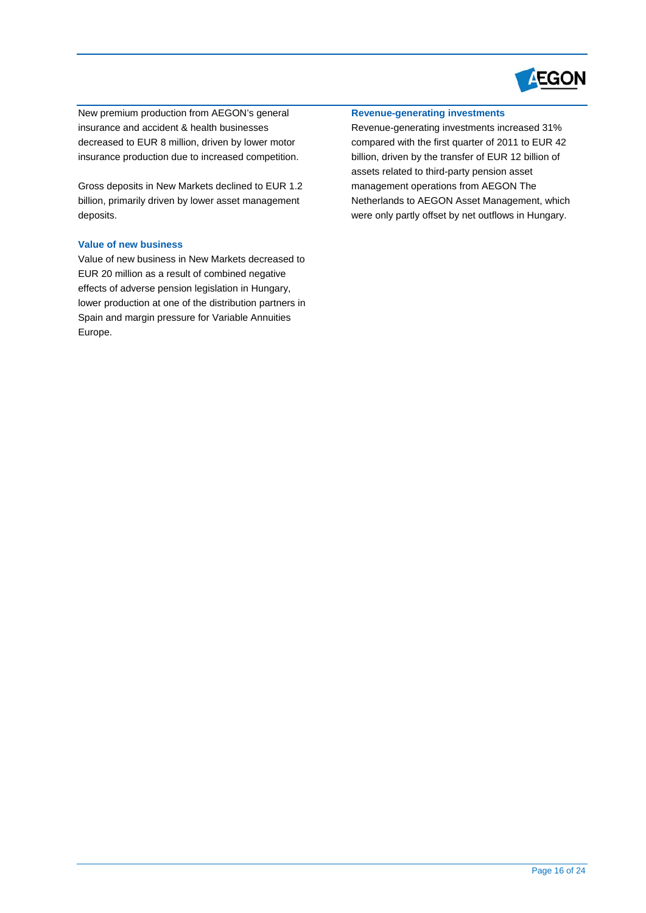

New premium production from AEGON's general insurance and accident & health businesses decreased to EUR 8 million, driven by lower motor insurance production due to increased competition.

Gross deposits in New Markets declined to EUR 1.2 billion, primarily driven by lower asset management deposits.

# **Value of new business**

Value of new business in New Markets decreased to EUR 20 million as a result of combined negative effects of adverse pension legislation in Hungary, lower production at one of the distribution partners in Spain and margin pressure for Variable Annuities Europe.

# **Revenue-generating investments**

Revenue-generating investments increased 31% compared with the first quarter of 2011 to EUR 42 billion, driven by the transfer of EUR 12 billion of assets related to third-party pension asset management operations from AEGON The Netherlands to AEGON Asset Management, which were only partly offset by net outflows in Hungary.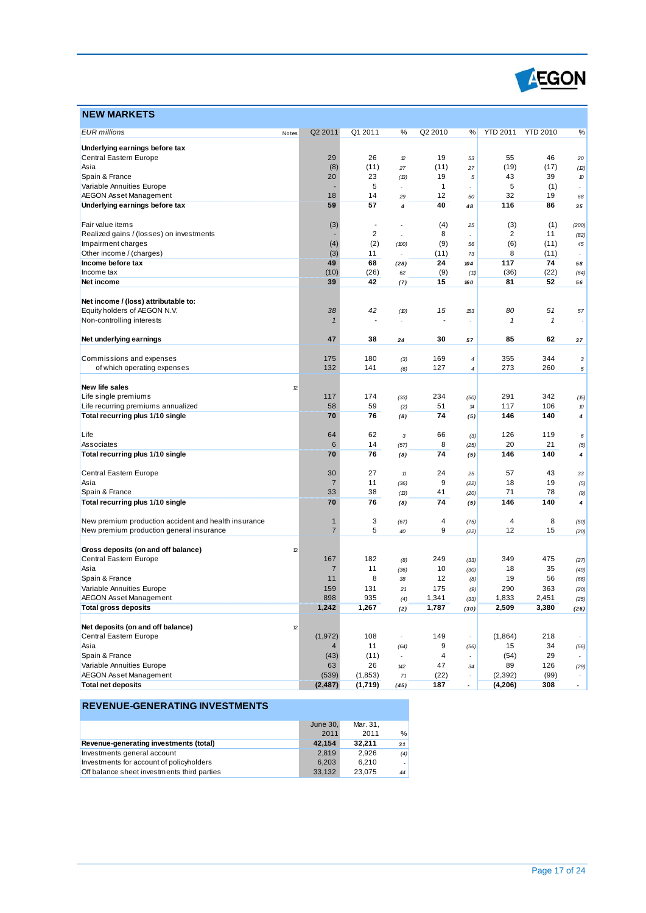

| <b>NEW MARKETS</b>                                   |       |                |                          |                |              |                |                 |                 |                          |
|------------------------------------------------------|-------|----------------|--------------------------|----------------|--------------|----------------|-----------------|-----------------|--------------------------|
| <b>EUR</b> millions                                  | Notes | Q2 2011        | Q1 2011                  | %              | Q2 2010      | %              | <b>YTD 2011</b> | <b>YTD 2010</b> | %                        |
| Underlying earnings before tax                       |       |                |                          |                |              |                |                 |                 |                          |
| Central Eastern Europe                               |       | 29             | 26                       | 12             | 19           | 53             | 55              | 46              | 20                       |
| Asia                                                 |       | (8)            | (11)                     | 27             | (11)         | 27             | (19)            | (17)            | (2)                      |
| Spain & France                                       |       | 20             | 23                       | (13)           | 19           | $\sqrt{5}$     | 43              | 39              | 10                       |
| Variable Annuities Europe                            |       |                | 5                        | $\overline{a}$ | $\mathbf{1}$ | ٠              | 5               | (1)             | $\overline{\phantom{a}}$ |
| AEGON Asset Management                               |       | 18             | 14                       | 29             | 12           | 50             | 32              | 19              | 68                       |
| Underlying earnings before tax                       |       | 59             | 57                       | 4              | 40           | 48             | 116             | 86              | 35                       |
| Fair value items                                     |       | (3)            | $\overline{\phantom{a}}$ |                | (4)          | 25             | (3)             | (1)             | (200)                    |
| Realized gains / (losses) on investments             |       |                | $\overline{2}$           |                | 8            |                | 2               | 11              | (82)                     |
| Impairment charges                                   |       | (4)            | (2)                      | (100)          | (9)          | 56             | (6)             | (11)            | 45                       |
| Other income / (charges)                             |       | (3)            | 11                       | ÷,             | (11)         | 73             | 8               | (11)            | $\overline{\phantom{a}}$ |
| Income before tax                                    |       | 49             | 68                       | (28)           | 24           | 104            | 117             | 74              | 58                       |
| Income tax                                           |       | (10)           | (26)                     | 62             | (9)          | (11)           | (36)            | (22)            | (64)                     |
| Net income                                           |       | 39             | 42                       | (7)            | 15           | 160            | 81              | 52              | 56                       |
| Net income / (loss) attributable to:                 |       |                |                          |                |              |                |                 |                 |                          |
| Equity holders of AEGON N.V.                         |       | 38             | 42                       | (10)           | 15           | 153            | 80              | 51              | 57                       |
| Non-controlling interests                            |       | $\mathbf{1}$   | $\overline{\phantom{a}}$ | $\overline{a}$ |              | $\overline{a}$ | $\mathbf{1}$    | $\mathbf{1}$    |                          |
| Net underlying earnings                              |       | 47             | 38                       | 24             | 30           | 57             | 85              | 62              | 37                       |
| Commissions and expenses                             |       | 175            | 180                      | (3)            | 169          | 4              | 355             | 344             | 3                        |
| of which operating expenses                          |       | 132            | 141                      | (6)            | 127          | $\overline{4}$ | 273             | 260             | 5                        |
| New life sales                                       | 12    |                |                          |                |              |                |                 |                 |                          |
| Life single premiums                                 |       | 117            | 174                      | (33)           | 234          | (50)           | 291             | 342             | (15)                     |
| Life recurring premiums annualized                   |       | 58             | 59                       | (2)            | 51           | 14             | 117             | 106             | 10                       |
| Total recurring plus 1/10 single                     |       | 70             | 76                       | (8)            | 74           | (5)            | 146             | 140             | 4                        |
| Life                                                 |       | 64             | 62                       | $\sqrt{3}$     | 66           | (3)            | 126             | 119             | 6                        |
| Associates                                           |       | 6              | 14                       | (57)           | 8            | (25)           | 20              | 21              | (5)                      |
| Total recurring plus 1/10 single                     |       | 70             | 76                       | (8)            | 74           | (5)            | 146             | 140             | 4                        |
| Central Eastern Europe                               |       | 30             | 27                       | 11             | 24           | 25             | 57              | 43              | 33                       |
| Asia                                                 |       | $\overline{7}$ | 11                       | (36)           | 9            | (22)           | 18              | 19              | (5)                      |
| Spain & France                                       |       | 33             | 38                       | (B)            | 41           | (20)           | 71              | 78              | (9)                      |
| Total recurring plus 1/10 single                     |       | 70             | 76                       | (8)            | 74           | (5)            | 146             | 140             | 4                        |
| New premium production accident and health insurance |       | $\mathbf{1}$   | 3                        | (67)           | 4            | (75)           | 4               | 8               | (50)                     |
| New premium production general insurance             |       | $\overline{7}$ | 5                        | 40             | 9            | (22)           | 12              | 15              | (20)                     |
| Gross deposits (on and off balance)                  | 12    |                |                          |                |              |                |                 |                 |                          |
| Central Eastern Europe                               |       | 167            | 182                      | (8)            | 249          | (33)           | 349             | 475             | (27)                     |
| Asia                                                 |       | 7              | 11                       | (36)           | 10           | (30)           | 18              | 35              | (49)                     |
| Spain & France                                       |       | 11             | 8                        | 38             | 12           | (8)            | 19              | 56              | (66)                     |
| Variable Annuities Europe                            |       | 159            | 131                      | 21             | 175          | (9)            | 290             | 363             | (20)                     |
| AEGON Asset Management                               |       | ୪୨୪            | 935                      | (4)            | 1,341        | (33)           | 1,833           | 2,451           | (25)                     |
| <b>Total gross deposits</b>                          |       | 1,242          | 1,267                    | (2)            | 1,787        | (30)           | 2,509           | 3,380           | (26)                     |
| Net deposits (on and off balance)                    | 12    |                |                          |                |              |                |                 |                 |                          |
| Central Eastern Europe                               |       | (1, 972)       | 108                      |                | 149          |                | (1,864)         | 218             | $\overline{\phantom{a}}$ |
| Asia                                                 |       |                | 11                       | (64)           | 9            | (56)           | 15              | 34              | (56)                     |
| Spain & France                                       |       | (43)           | (11)                     |                | 4            |                | (54)            | 29              |                          |
| Variable Annuities Europe                            |       | 63             | 26                       | 142            | 47           | 34             | 89              | 126             | (29)                     |
| AEGON Asset Management                               |       | (539)          | (1, 853)                 | $71$           | (22)         |                | (2, 392)        | (99)            |                          |
| <b>Total net deposits</b>                            |       | (2, 487)       | (1,719)                  | (45)           | 187          | ÷.             | (4, 206)        | 308             | $\sim$                   |

|                                             | June 30, | Mar. 31. |               |
|---------------------------------------------|----------|----------|---------------|
|                                             | 2011     | 2011     | $\frac{0}{0}$ |
| Revenue-generating investments (total)      | 42,154   | 32.211   | 31            |
| Investments general account                 | 2.819    | 2.926    | (4)           |
| Investments for account of policyholders    | 6.203    | 6.210    |               |
| Off balance sheet investments third parties | 33,132   | 23.075   | 44            |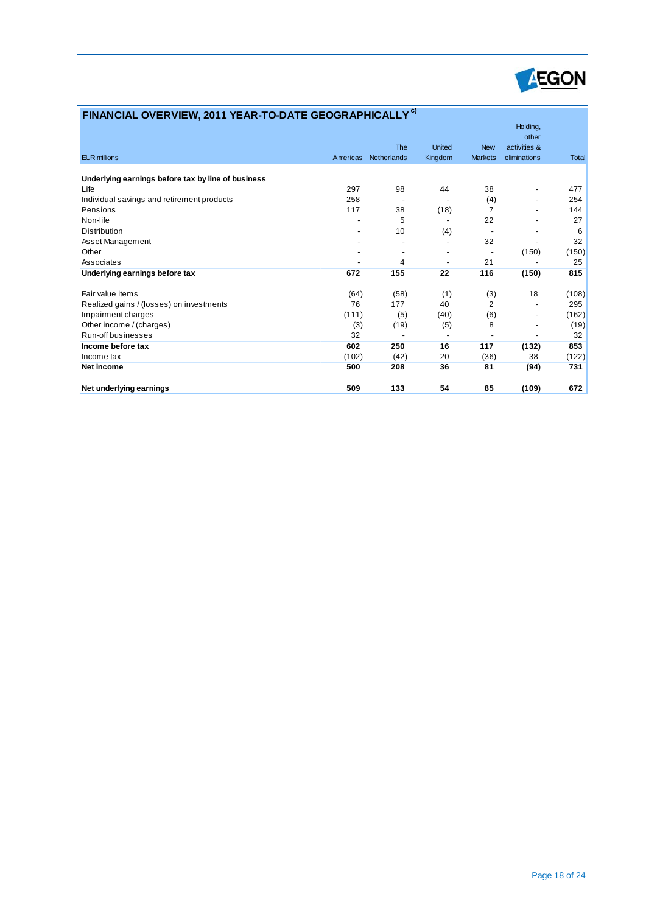

| FINANCIAL OVERVIEW, 2011 YEAR-TO-DATE GEOGRAPHICALLY <sup>C)</sup> |          |             |               |                |                                   |              |
|--------------------------------------------------------------------|----------|-------------|---------------|----------------|-----------------------------------|--------------|
|                                                                    |          | <b>The</b>  | <b>United</b> | <b>New</b>     | Holding,<br>other<br>activities & |              |
| <b>EUR millions</b>                                                | Americas | Netherlands | Kingdom       | <b>Markets</b> | eliminations                      | <b>Total</b> |
|                                                                    |          |             |               |                |                                   |              |
| Underlying earnings before tax by line of business                 |          |             |               |                |                                   |              |
| Life                                                               | 297      | 98          | 44            | 38             | -                                 | 477          |
| Individual savings and retirement products                         | 258      |             |               | (4)            | $\overline{a}$                    | 254          |
| Pensions                                                           | 117      | 38          | (18)          | $\overline{7}$ |                                   | 144          |
| Non-life                                                           |          | 5           |               | 22             |                                   | 27           |
| <b>Distribution</b>                                                |          | 10          | (4)           |                |                                   | 6            |
| Asset Management                                                   |          |             |               | 32             |                                   | 32           |
| Other                                                              |          |             |               |                | (150)                             | (150)        |
| Associates                                                         |          | 4           |               | 21             |                                   | 25           |
| Underlying earnings before tax                                     | 672      | 155         | 22            | 116            | (150)                             | 815          |
| Fair value items                                                   | (64)     | (58)        | (1)           | (3)            | 18                                | (108)        |
| Realized gains / (losses) on investments                           | 76       | 177         | 40            | $\overline{2}$ |                                   | 295          |
| Impairment charges                                                 | (111)    | (5)         | (40)          | (6)            | -                                 | (162)        |
| Other income / (charges)                                           | (3)      | (19)        | (5)           | 8              |                                   | (19)         |
| Run-off businesses                                                 | 32       |             |               |                |                                   | 32           |
| Income before tax                                                  | 602      | 250         | 16            | 117            | (132)                             | 853          |
| Income tax                                                         | (102)    | (42)        | 20            | (36)           | 38                                | (122)        |
| Net income                                                         | 500      | 208         | 36            | 81             | (94)                              | 731          |
| Net underlying earnings                                            | 509      | 133         | 54            | 85             | (109)                             | 672          |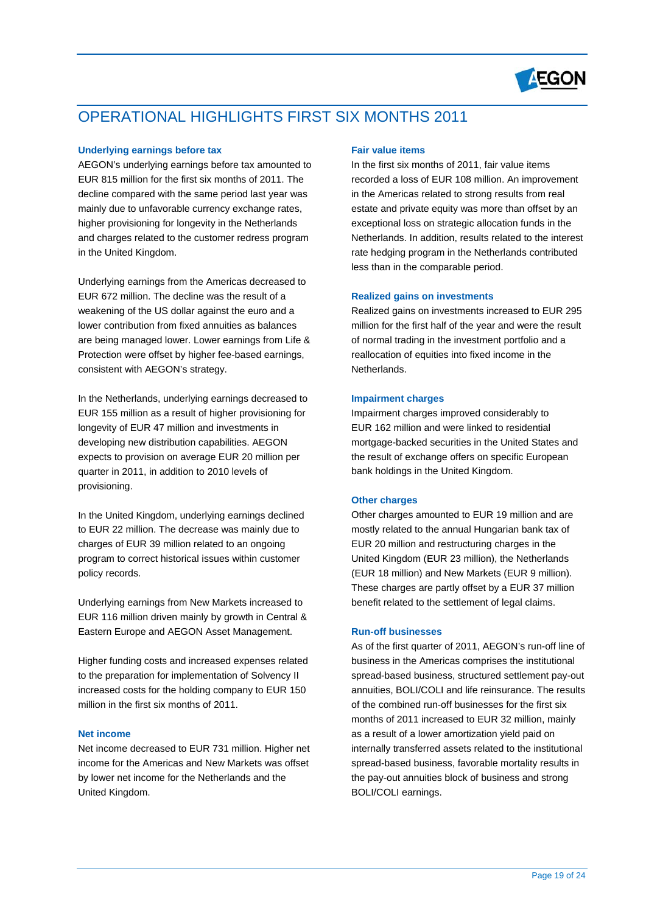

# OPERATIONAL HIGHLIGHTS FIRST SIX MONTHS 2011

## **Underlying earnings before tax**

AEGON's underlying earnings before tax amounted to EUR 815 million for the first six months of 2011. The decline compared with the same period last year was mainly due to unfavorable currency exchange rates, higher provisioning for longevity in the Netherlands and charges related to the customer redress program in the United Kingdom.

Underlying earnings from the Americas decreased to EUR 672 million. The decline was the result of a weakening of the US dollar against the euro and a lower contribution from fixed annuities as balances are being managed lower. Lower earnings from Life & Protection were offset by higher fee-based earnings, consistent with AEGON's strategy.

In the Netherlands, underlying earnings decreased to EUR 155 million as a result of higher provisioning for longevity of EUR 47 million and investments in developing new distribution capabilities. AEGON expects to provision on average EUR 20 million per quarter in 2011, in addition to 2010 levels of provisioning.

In the United Kingdom, underlying earnings declined to EUR 22 million. The decrease was mainly due to charges of EUR 39 million related to an ongoing program to correct historical issues within customer policy records.

Underlying earnings from New Markets increased to EUR 116 million driven mainly by growth in Central & Eastern Europe and AEGON Asset Management.

Higher funding costs and increased expenses related to the preparation for implementation of Solvency II increased costs for the holding company to EUR 150 million in the first six months of 2011.

#### **Net income**

Net income decreased to EUR 731 million. Higher net income for the Americas and New Markets was offset by lower net income for the Netherlands and the United Kingdom.

### **Fair value items**

In the first six months of 2011, fair value items recorded a loss of EUR 108 million. An improvement in the Americas related to strong results from real estate and private equity was more than offset by an exceptional loss on strategic allocation funds in the Netherlands. In addition, results related to the interest rate hedging program in the Netherlands contributed less than in the comparable period.

#### **Realized gains on investments**

Realized gains on investments increased to EUR 295 million for the first half of the year and were the result of normal trading in the investment portfolio and a reallocation of equities into fixed income in the Netherlands.

#### **Impairment charges**

Impairment charges improved considerably to EUR 162 million and were linked to residential mortgage-backed securities in the United States and the result of exchange offers on specific European bank holdings in the United Kingdom.

#### **Other charges**

Other charges amounted to EUR 19 million and are mostly related to the annual Hungarian bank tax of EUR 20 million and restructuring charges in the United Kingdom (EUR 23 million), the Netherlands (EUR 18 million) and New Markets (EUR 9 million). These charges are partly offset by a EUR 37 million benefit related to the settlement of legal claims.

#### **Run-off businesses**

As of the first quarter of 2011, AEGON's run-off line of business in the Americas comprises the institutional spread-based business, structured settlement pay-out annuities, BOLI/COLI and life reinsurance. The results of the combined run-off businesses for the first six months of 2011 increased to EUR 32 million, mainly as a result of a lower amortization yield paid on internally transferred assets related to the institutional spread-based business, favorable mortality results in the pay-out annuities block of business and strong BOLI/COLI earnings.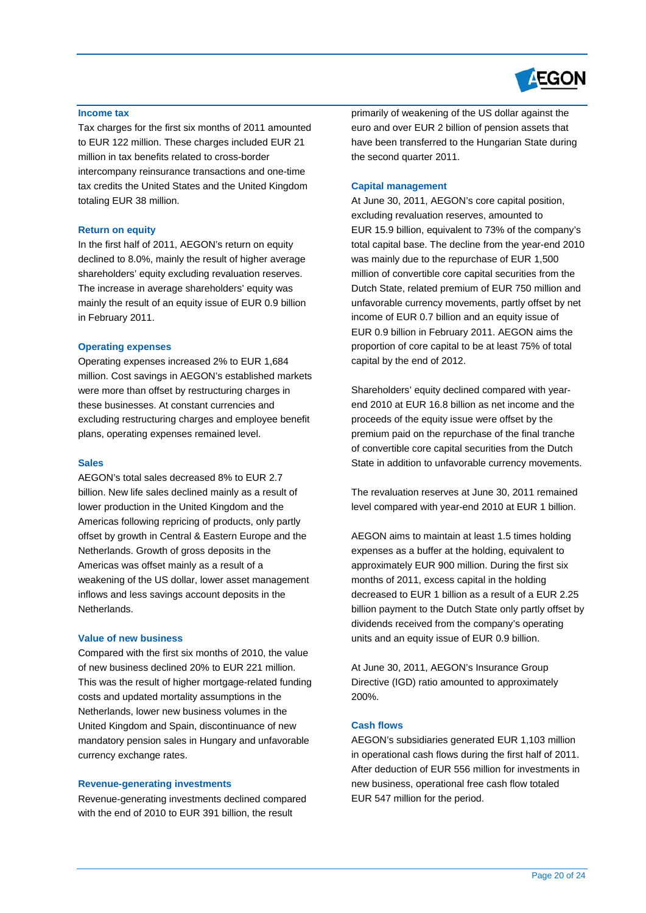

#### **Income tax**

Tax charges for the first six months of 2011 amounted to EUR 122 million. These charges included EUR 21 million in tax benefits related to cross-border intercompany reinsurance transactions and one-time tax credits the United States and the United Kingdom totaling EUR 38 million.

#### **Return on equity**

In the first half of 2011, AEGON's return on equity declined to 8.0%, mainly the result of higher average shareholders' equity excluding revaluation reserves. The increase in average shareholders' equity was mainly the result of an equity issue of EUR 0.9 billion in February 2011.

#### **Operating expenses**

Operating expenses increased 2% to EUR 1,684 million. Cost savings in AEGON's established markets were more than offset by restructuring charges in these businesses. At constant currencies and excluding restructuring charges and employee benefit plans, operating expenses remained level.

#### **Sales**

AEGON's total sales decreased 8% to EUR 2.7 billion. New life sales declined mainly as a result of lower production in the United Kingdom and the Americas following repricing of products, only partly offset by growth in Central & Eastern Europe and the Netherlands. Growth of gross deposits in the Americas was offset mainly as a result of a weakening of the US dollar, lower asset management inflows and less savings account deposits in the Netherlands.

#### **Value of new business**

Compared with the first six months of 2010, the value of new business declined 20% to EUR 221 million. This was the result of higher mortgage-related funding costs and updated mortality assumptions in the Netherlands, lower new business volumes in the United Kingdom and Spain, discontinuance of new mandatory pension sales in Hungary and unfavorable currency exchange rates.

#### **Revenue-generating investments**

Revenue-generating investments declined compared with the end of 2010 to EUR 391 billion, the result

primarily of weakening of the US dollar against the euro and over EUR 2 billion of pension assets that have been transferred to the Hungarian State during the second quarter 2011.

#### **Capital management**

At June 30, 2011, AEGON's core capital position, excluding revaluation reserves, amounted to EUR 15.9 billion, equivalent to 73% of the company's total capital base. The decline from the year-end 2010 was mainly due to the repurchase of EUR 1,500 million of convertible core capital securities from the Dutch State, related premium of EUR 750 million and unfavorable currency movements, partly offset by net income of EUR 0.7 billion and an equity issue of EUR 0.9 billion in February 2011. AEGON aims the proportion of core capital to be at least 75% of total capital by the end of 2012.

Shareholders' equity declined compared with yearend 2010 at EUR 16.8 billion as net income and the proceeds of the equity issue were offset by the premium paid on the repurchase of the final tranche of convertible core capital securities from the Dutch State in addition to unfavorable currency movements.

The revaluation reserves at June 30, 2011 remained level compared with year-end 2010 at EUR 1 billion.

AEGON aims to maintain at least 1.5 times holding expenses as a buffer at the holding, equivalent to approximately EUR 900 million. During the first six months of 2011, excess capital in the holding decreased to EUR 1 billion as a result of a EUR 2.25 billion payment to the Dutch State only partly offset by dividends received from the company's operating units and an equity issue of EUR 0.9 billion.

At June 30, 2011, AEGON's Insurance Group Directive (IGD) ratio amounted to approximately 200%.

#### **Cash flows**

AEGON's subsidiaries generated EUR 1,103 million in operational cash flows during the first half of 2011. After deduction of EUR 556 million for investments in new business, operational free cash flow totaled EUR 547 million for the period.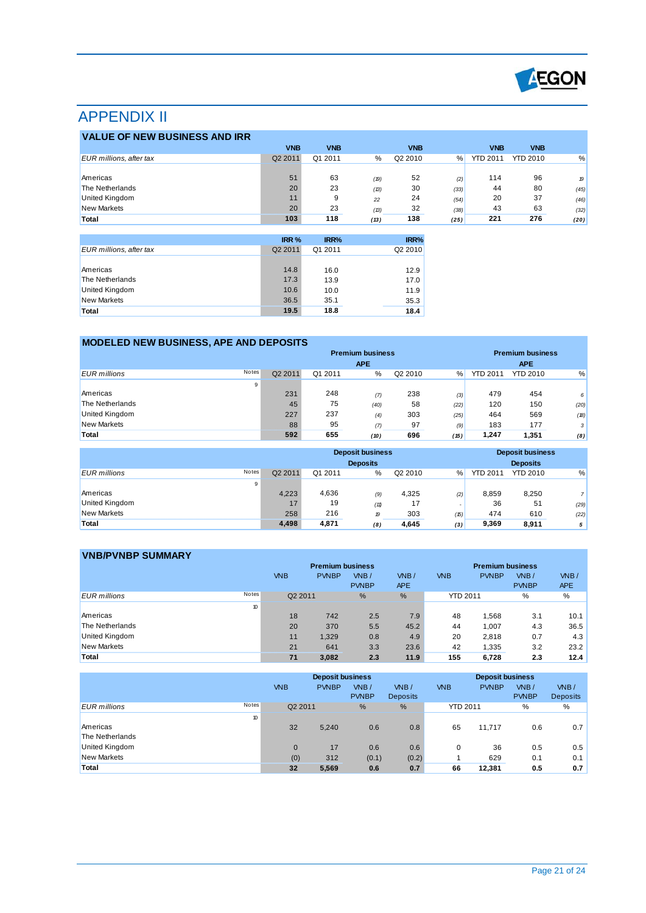

# APPENDIX II

| <b>VALUE OF NEW BUSINESS AND IRR</b> |                     |            |      |                     |      |                 |                 |      |
|--------------------------------------|---------------------|------------|------|---------------------|------|-----------------|-----------------|------|
|                                      | <b>VNB</b>          | <b>VNB</b> |      | <b>VNB</b>          |      | <b>VNB</b>      | <b>VNB</b>      |      |
| EUR millions, after tax              | Q <sub>2</sub> 2011 | Q1 2011    | %    | Q <sub>2</sub> 2010 | %    | <b>YTD 2011</b> | <b>YTD 2010</b> | %    |
|                                      |                     |            |      |                     |      |                 |                 |      |
| Americas                             | 51                  | 63         | (19) | 52                  | (2)  | 114             | 96              | 19   |
| The Netherlands                      | 20                  | 23         | (13) | 30                  | (33) | 44              | 80              | (45) |
| <b>United Kingdom</b>                | 11                  | 9          | 22   | 24                  | (54) | 20              | 37              | (46) |
| <b>New Markets</b>                   | 20                  | 23         | (13) | 32                  | (38) | 43              | 63              | (32) |
| Total                                | 103                 | 118        | (13) | 138                 | (25) | 221             | 276             | (20) |

|                         | IRR %   | IRR%    | IRR%    |
|-------------------------|---------|---------|---------|
| EUR millions, after tax | Q2 2011 | Q1 2011 | Q2 2010 |
|                         |         |         |         |
| Americas                | 14.8    | 16.0    | 12.9    |
| The Netherlands         | 17.3    | 13.9    | 17.0    |
| United Kingdom          | 10.6    | 10.0    | 11.9    |
| New Markets             | 36.5    | 35.1    | 35.3    |
| Total                   | 19.5    | 18.8    | 18.4    |

# **MODELED NEW BUSINESS, APE AND DEPOSITS**

|                     |       | <b>Premium business</b> |         |            |         |      |                 | <b>Premium business</b> |                |
|---------------------|-------|-------------------------|---------|------------|---------|------|-----------------|-------------------------|----------------|
|                     |       |                         |         | <b>APE</b> |         |      |                 | <b>APE</b>              |                |
| <b>EUR</b> millions | Notes | Q2 2011                 | Q1 2011 | %          | Q2 2010 | $\%$ | <b>YTD 2011</b> | <b>YTD 2010</b>         | %              |
|                     | 9     |                         |         |            |         |      |                 |                         |                |
| Americas            |       | 231                     | 248     | (7)        | 238     | (3)  | 479             | 454                     | 6 <sup>1</sup> |
| The Netherlands     |       | 45                      | 75      | (40)       | 58      | (22) | 120             | 150                     | (20)           |
| United Kingdom      |       | 227                     | 237     | (4)        | 303     | (25) | 464             | 569                     | (18)           |
| <b>New Markets</b>  |       | 88                      | 95      | (7)        | 97      | (9)  | 183             | 177                     | 3 <sup>1</sup> |
| Total               |       | 592                     | 655     | (10)       | 696     | (15) | 1,247           | 1.351                   | (8)            |

|                              |         |         | <b>Deposit business</b><br><b>Deposits</b> |         |      |                 | <b>Deposit business</b><br><b>Deposits</b> |                |
|------------------------------|---------|---------|--------------------------------------------|---------|------|-----------------|--------------------------------------------|----------------|
| Notes<br><b>EUR</b> millions | Q2 2011 | Q1 2011 | %                                          | Q2 2010 | %    | <b>YTD 2011</b> | <b>YTD 2010</b>                            | %              |
| 9                            |         |         |                                            |         |      |                 |                                            |                |
| Americas                     | 4.223   | 4,636   | (9)                                        | 4,325   | (2)  | 8.859           | 8.250                                      | $\overline{7}$ |
| United Kingdom               | 17      | 19      | (11)                                       | 17      |      | 36              | 51                                         | (29)           |
| <b>New Markets</b>           | 258     | 216     | 19                                         | 303     | (15) | 474             | 610                                        | (22)           |
| Total                        | 4,498   | 4,871   | (8)                                        | 4,645   | (3)  | 9,369           | 8,911                                      | 5 <sup>1</sup> |

| <b>VNB/PVNBP SUMMARY</b>            |                     |                         |                        |                    |                 |                         |                      |                    |
|-------------------------------------|---------------------|-------------------------|------------------------|--------------------|-----------------|-------------------------|----------------------|--------------------|
|                                     |                     | <b>Premium business</b> |                        |                    |                 | <b>Premium business</b> |                      |                    |
|                                     | <b>VNB</b>          | <b>PVNBP</b>            | $W$ B/<br><b>PVNBP</b> | VNB/<br><b>APE</b> | <b>VNB</b>      | <b>PVNBP</b>            | VNB/<br><b>PVNBP</b> | VNB/<br><b>APE</b> |
| <b>Notes</b><br><b>EUR</b> millions | Q <sub>2</sub> 2011 |                         | %                      | %                  | <b>YTD 2011</b> |                         | %                    | %                  |
|                                     | 10                  |                         |                        |                    |                 |                         |                      |                    |
| Americas                            | 18                  | 742                     | 2.5                    | 7.9                | 48              | 1,568                   | 3.1                  | 10.1               |
| The Netherlands                     | 20                  | 370                     | 5.5                    | 45.2               | 44              | 1,007                   | 4.3                  | 36.5               |
| United Kingdom                      | 11                  | 1,329                   | 0.8                    | 4.9                | 20              | 2,818                   | 0.7                  | 4.3                |
| <b>New Markets</b>                  | 21                  | 641                     | 3.3                    | 23.6               | 42              | 1,335                   | 3.2                  | 23.2               |
| Total                               | 71                  | 3.082                   | 2.3                    | 11.9               | 155             | 6,728                   | 2.3                  | 12.4               |

|                     |       | <b>Deposit business</b> |              |                        |                         | <b>Deposit business</b> |              |                      |                         |
|---------------------|-------|-------------------------|--------------|------------------------|-------------------------|-------------------------|--------------|----------------------|-------------------------|
|                     |       | <b>VNB</b>              | <b>PVNBP</b> | $W$ B/<br><b>PVNBP</b> | VNB/<br><b>Deposits</b> | <b>VNB</b>              | <b>PVNBP</b> | VNB/<br><b>PVNBP</b> | VNB/<br><b>Deposits</b> |
| <b>EUR</b> millions | Notes | Q2 2011                 |              | $\frac{9}{6}$          | %                       | <b>YTD 2011</b>         |              | %                    | %                       |
|                     | 10    |                         |              |                        |                         |                         |              |                      |                         |
| Americas            |       | 32                      | 5,240        | 0.6                    | 0.8                     | 65                      | 11.717       | 0.6                  | 0.7                     |
| The Netherlands     |       |                         |              |                        |                         |                         |              |                      |                         |
| United Kingdom      |       | $\Omega$                | 17           | 0.6                    | 0.6                     |                         | 36           | 0.5                  | 0.5                     |
| <b>New Markets</b>  |       | (0)                     | 312          | (0.1)                  | (0.2)                   |                         | 629          | 0.1                  | 0.1                     |
| Total               |       | 32                      | 5,569        | 0.6                    | 0.7                     | 66                      | 12,381       | 0.5                  | 0.7                     |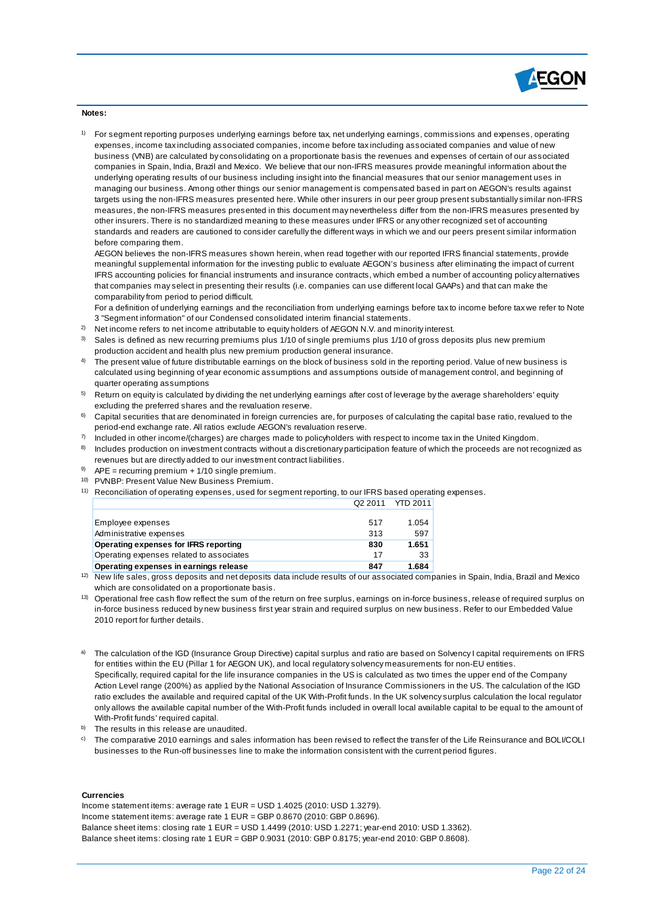

#### **Notes:**

1) For segment reporting purposes underlying earnings before tax, net underlying earnings, commissions and expenses, operating expenses, income tax including associated companies, income before tax including associated companies and value of new business (VNB) are calculated by consolidating on a proportionate basis the revenues and expenses of certain of our associated companies in Spain, India, Brazil and Mexico. We believe that our non-IFRS measures provide meaningful information about the underlying operating results of our business including insight into the financial measures that our senior management uses in managing our business. Among other things our senior management is compensated based in part on AEGON's results against targets using the non-IFRS measures presented here. While other insurers in our peer group present substantially similar non-IFRS measures, the non-IFRS measures presented in this document may nevertheless differ from the non-IFRS measures presented by other insurers. There is no standardized meaning to these measures under IFRS or any other recognized set of accounting standards and readers are cautioned to consider carefully the different ways in which we and our peers present similar information before comparing them.

AEGON believes the non-IFRS measures shown herein, when read together with our reported IFRS financial statements, provide meaningful supplemental information for the investing public to evaluate AEGON's business after eliminating the impact of current IFRS accounting policies for financial instruments and insurance contracts, which embed a number of accounting policy alternatives that companies may select in presenting their results (i.e. companies can use different local GAAPs) and that can make the comparability from period to period difficult.

For a definition of underlying earnings and the reconciliation from underlying earnings before tax to income before tax we refer to Note 3 "Segment information" of our Condensed consolidated interim financial statements.

- $^{2)}$  Net income refers to net income attributable to equity holders of AEGON N.V. and minority interest.
- $3$  Sales is defined as new recurring premiums plus 1/10 of single premiums plus 1/10 of gross deposits plus new premium production accident and health plus new premium production general insurance.
- 4) The present value of future distributable earnings on the block of business sold in the reporting period. Value of new business is calculated using beginning of year economic assumptions and assumptions outside of management control, and beginning of quarter operating assumptions
- $^\mathrm{5)}$  Return on equity is calculated by dividing the net underlying earnings after cost of leverage by the average shareholders' equity excluding the preferred shares and the revaluation reserve.
- $6$  Capital securities that are denominated in foreign currencies are, for purposes of calculating the capital base ratio, revalued to the period-end exchange rate. All ratios exclude AEGON's revaluation reserve.
- 7) Included in other income/(charges) are charges made to policyholders with respect to income tax in the United Kingdom.
- 8) Includes production on investment contracts without a discretionary participation feature of which the proceeds are not recognized as revenues but are directly added to our investment contract liabilities.
- $9$  APE = recurring premium + 1/10 single premium.
- 10) PVNBP: Present Value New Business Premium.
- <sup>11)</sup> Reconciliation of operating expenses, used for segment reporting, to our IFRS based operating expenses. Q2 2011 YTD 2011

| Employee expenses                        | 517 | 1.054 |
|------------------------------------------|-----|-------|
| Administrative expenses                  | 313 | 597   |
| Operating expenses for IFRS reporting    | 830 | 1.651 |
| Operating expenses related to associates | 17  | 33    |
| Operating expenses in earnings release   | 847 | 1.684 |
|                                          |     |       |

<sup>12)</sup> New life sales, gross deposits and net deposits data include results of our associated companies in Spain, India, Brazil and Mexico which are consolidated on a proportionate basis.

- <sup>13)</sup> Operational free cash flow reflect the sum of the return on free surplus, earnings on in-force business, release of required surplus on in-force business reduced by new business first year strain and required surplus on new business. Refer to our Embedded Value 2010 report for further details.
- a) The calculation of the IGD (Insurance Group Directive) capital surplus and ratio are based on Solvency I capital requirements on IFRS for entities within the EU (Pillar 1 for AEGON UK), and local regulatory solvency measurements for non-EU entities. Specifically, required capital for the life insurance companies in the US is calculated as two times the upper end of the Company Action Level range (200%) as applied by the National Association of Insurance Commissioners in the US. The calculation of the IGD ratio excludes the available and required capital of the UK With-Profit funds. In the UK solvency surplus calculation the local regulator only allows the available capital number of the With-Profit funds included in overall local available capital to be equal to the amount of With-Profit funds' required capital.
- b) The results in this release are unaudited.
- $^{\circ}$  The comparative 2010 earnings and sales information has been revised to reflect the transfer of the Life Reinsurance and BOLI/COLI businesses to the Run-off businesses line to make the information consistent with the current period figures.

#### **Currencies**

Income statement items: average rate 1 EUR = USD 1.4025 (2010: USD 1.3279). Income statement items: average rate 1 EUR = GBP 0.8670 (2010: GBP 0.8696). Balance sheet items: closing rate 1 EUR = USD 1.4499 (2010: USD 1.2271; year-end 2010: USD 1.3362). Balance sheet items: closing rate 1 EUR = GBP 0.9031 (2010: GBP 0.8175; year-end 2010: GBP 0.8608).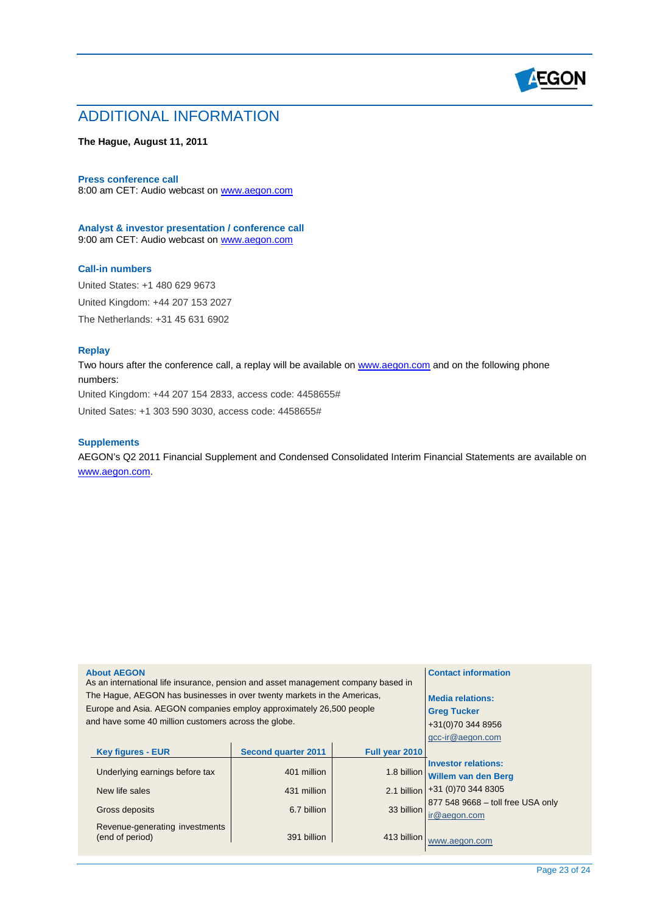

# ADDITIONAL INFORMATION

## **The Hague, August 11, 2011**

#### **Press conference call**

8:00 am CET: Audio webcast on [www.aegon.com](http://www.aegon.com/)

**Analyst & investor presentation / conference call** 9:00 am CET: Audio webcast on [www.aegon.com](http://www.aegon.com/)

#### **Call-in numbers**

United States: +1 480 629 9673 United Kingdom: +44 207 153 2027 The Netherlands: +31 45 631 6902

## **Replay**

Two hours after the conference call, a replay will be available on [www.aegon.com](http://www.aegon.com/) and on the following phone numbers:

United Kingdom: +44 207 154 2833, access code: 4458655#

United Sates: +1 303 590 3030, access code: 4458655#

#### **Supplements**

AEGON's Q2 2011 Financial Supplement and Condensed Consolidated Interim Financial Statements are available on [www.aegon.com.](http://www.aegon.com/)

| <b>About AEGON</b>                                                                | <b>Contact information</b> |                |                                   |  |  |  |
|-----------------------------------------------------------------------------------|----------------------------|----------------|-----------------------------------|--|--|--|
| As an international life insurance, pension and asset management company based in |                            |                |                                   |  |  |  |
| The Hague, AEGON has businesses in over twenty markets in the Americas,           |                            |                | <b>Media relations:</b>           |  |  |  |
| Europe and Asia. AEGON companies employ approximately 26,500 people               |                            |                | <b>Greg Tucker</b>                |  |  |  |
| and have some 40 million customers across the globe.                              |                            |                | +31(0)70 344 8956                 |  |  |  |
|                                                                                   |                            |                | gcc-ir@aegon.com                  |  |  |  |
| <b>Key figures - EUR</b>                                                          | <b>Second quarter 2011</b> | Full year 2010 |                                   |  |  |  |
|                                                                                   |                            |                | <b>Investor relations:</b>        |  |  |  |
| Underlying earnings before tax                                                    | 401 million                | 1.8 billion    | Willem van den Berg               |  |  |  |
| New life sales                                                                    | 431 million                | 2.1 billion    | +31 (0) 70 344 8305               |  |  |  |
|                                                                                   |                            |                | 877 548 9668 - toll free USA only |  |  |  |
| Gross deposits                                                                    | 6.7 billion                | 33 billion     | ir@aegon.com                      |  |  |  |
| Revenue-generating investments<br>(end of period)                                 | www.aegon.com              |                |                                   |  |  |  |